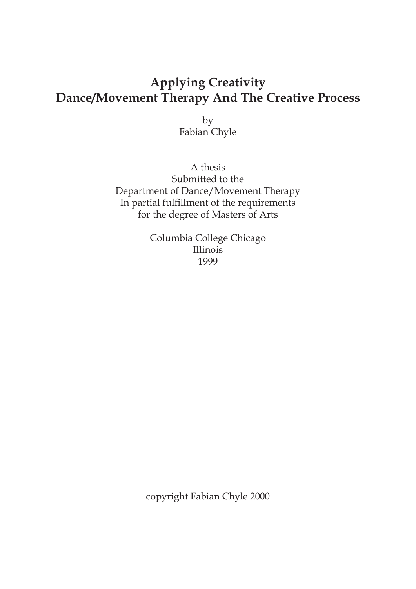# **Applying Creativity Dance/Movement Therapy And The Creative Process**

by Fabian Chyle

A thesis Submitted to the Department of Dance/Movement Therapy In partial fulfillment of the requirements for the degree of Masters of Arts

> Columbia College Chicago Illinois 1999

copyright Fabian Chyle 2000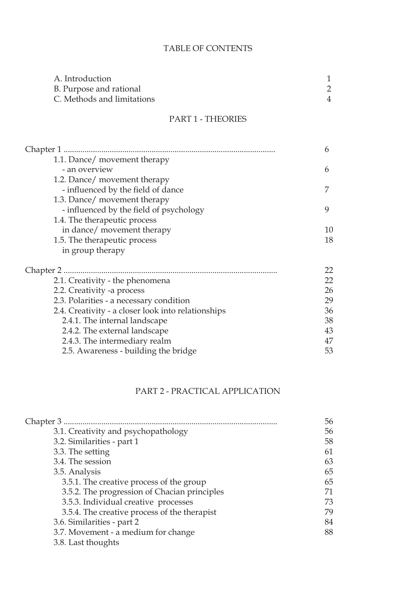# TABLE OF CONTENTS

| A. Introduction            |  |
|----------------------------|--|
| B. Purpose and rational    |  |
| C. Methods and limitations |  |
|                            |  |

# PART 1 - THEORIES

| Chapter 1                                          | 6  |
|----------------------------------------------------|----|
| 1.1. Dance/ movement therapy                       |    |
| - an overview                                      | 6  |
| 1.2. Dance/ movement therapy                       |    |
| - influenced by the field of dance                 |    |
| 1.3. Dance/ movement therapy                       |    |
| - influenced by the field of psychology            | 9  |
| 1.4. The therapeutic process                       |    |
| in dance/ movement therapy                         | 10 |
| 1.5. The therapeutic process                       | 18 |
| in group therapy                                   |    |
| Chapter 2                                          | 22 |
| 2.1. Creativity - the phenomena                    | 22 |
| 2.2. Creativity -a process                         | 26 |
| 2.3. Polarities - a necessary condition            | 29 |
| 2.4. Creativity - a closer look into relationships | 36 |
| 2.4.1. The internal landscape                      | 38 |
| 2.4.2. The external landscape                      | 43 |
| 2.4.3. The intermediary realm                      | 47 |
| 2.5. Awareness - building the bridge               | 53 |
|                                                    |    |

# PART 2 - PRACTICAL APPLICATION

| Chapter 3                                    | 56 |
|----------------------------------------------|----|
| 3.1. Creativity and psychopathology          | 56 |
| 3.2. Similarities - part 1                   | 58 |
| 3.3. The setting                             | 61 |
| 3.4. The session                             | 63 |
| 3.5. Analysis                                | 65 |
| 3.5.1. The creative process of the group     | 65 |
| 3.5.2. The progression of Chacian principles | 71 |
| 3.5.3. Individual creative processes         | 73 |
| 3.5.4. The creative process of the therapist | 79 |
| 3.6. Similarities - part 2                   | 84 |
| 3.7. Movement - a medium for change          | 88 |
| 3.8. Last thoughts                           |    |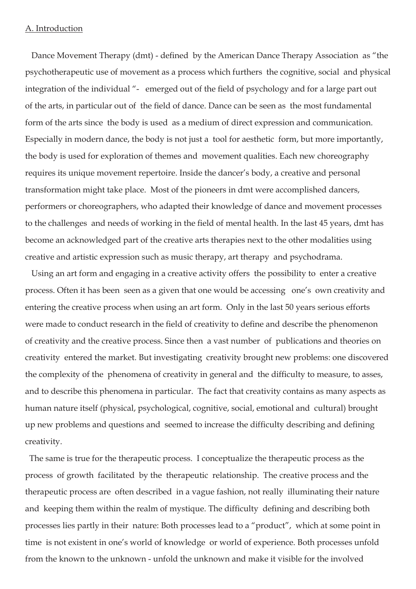# A. Introduction

 Dance Movement Therapy (dmt) - defined by the American Dance Therapy Association as "the psychotherapeutic use of movement as a process which furthers the cognitive, social and physical integration of the individual "- emerged out of the field of psychology and for a large part out of the arts, in particular out of the field of dance. Dance can be seen as the most fundamental form of the arts since the body is used as a medium of direct expression and communication. Especially in modern dance, the body is not just a tool for aesthetic form, but more importantly, the body is used for exploration of themes and movement qualities. Each new choreography requires its unique movement repertoire. Inside the dancer's body, a creative and personal transformation might take place. Most of the pioneers in dmt were accomplished dancers, performers or choreographers, who adapted their knowledge of dance and movement processes to the challenges and needs of working in the field of mental health. In the last 45 years, dmt has become an acknowledged part of the creative arts therapies next to the other modalities using creative and artistic expression such as music therapy, art therapy and psychodrama.

 Using an art form and engaging in a creative activity offers the possibility to enter a creative process. Often it has been seen as a given that one would be accessing one's own creativity and entering the creative process when using an art form. Only in the last 50 years serious efforts were made to conduct research in the field of creativity to define and describe the phenomenon of creativity and the creative process. Since then a vast number of publications and theories on creativity entered the market. But investigating creativity brought new problems: one discovered the complexity of the phenomena of creativity in general and the difficulty to measure, to asses, and to describe this phenomena in particular. The fact that creativity contains as many aspects as human nature itself (physical, psychological, cognitive, social, emotional and cultural) brought up new problems and questions and seemed to increase the difficulty describing and defining creativity.

 The same is true for the therapeutic process. I conceptualize the therapeutic process as the process of growth facilitated by the therapeutic relationship. The creative process and the therapeutic process are often described in a vague fashion, not really illuminating their nature and keeping them within the realm of mystique. The difficulty defining and describing both processes lies partly in their nature: Both processes lead to a "product", which at some point in time is not existent in one's world of knowledge or world of experience. Both processes unfold from the known to the unknown - unfold the unknown and make it visible for the involved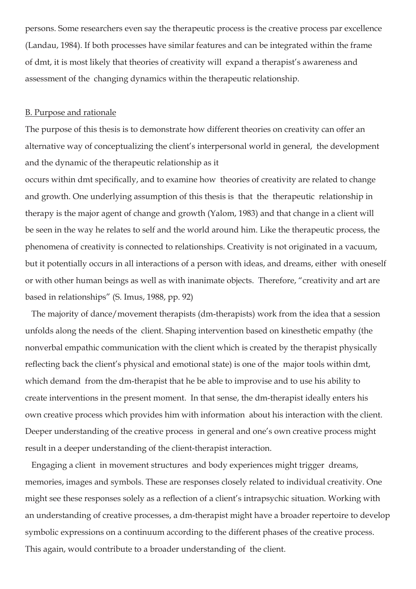persons. Some researchers even say the therapeutic process is the creative process par excellence (Landau, 1984). If both processes have similar features and can be integrated within the frame of dmt, it is most likely that theories of creativity will expand a therapist's awareness and assessment of the changing dynamics within the therapeutic relationship.

#### B. Purpose and rationale

The purpose of this thesis is to demonstrate how different theories on creativity can offer an alternative way of conceptualizing the client's interpersonal world in general, the development and the dynamic of the therapeutic relationship as it

occurs within dmt specifically, and to examine how theories of creativity are related to change and growth. One underlying assumption of this thesis is that the therapeutic relationship in therapy is the major agent of change and growth (Yalom, 1983) and that change in a client will be seen in the way he relates to self and the world around him. Like the therapeutic process, the phenomena of creativity is connected to relationships. Creativity is not originated in a vacuum, but it potentially occurs in all interactions of a person with ideas, and dreams, either with oneself or with other human beings as well as with inanimate objects. Therefore, "creativity and art are based in relationships" (S. Imus, 1988, pp. 92)

 The majority of dance/movement therapists (dm-therapists) work from the idea that a session unfolds along the needs of the client. Shaping intervention based on kinesthetic empathy (the nonverbal empathic communication with the client which is created by the therapist physically reflecting back the client's physical and emotional state) is one of the major tools within dmt, which demand from the dm-therapist that he be able to improvise and to use his ability to create interventions in the present moment. In that sense, the dm-therapist ideally enters his own creative process which provides him with information about his interaction with the client. Deeper understanding of the creative process in general and one's own creative process might result in a deeper understanding of the client-therapist interaction.

 Engaging a client in movement structures and body experiences might trigger dreams, memories, images and symbols. These are responses closely related to individual creativity. One might see these responses solely as a reflection of a client's intrapsychic situation. Working with an understanding of creative processes, a dm-therapist might have a broader repertoire to develop symbolic expressions on a continuum according to the different phases of the creative process. This again, would contribute to a broader understanding of the client.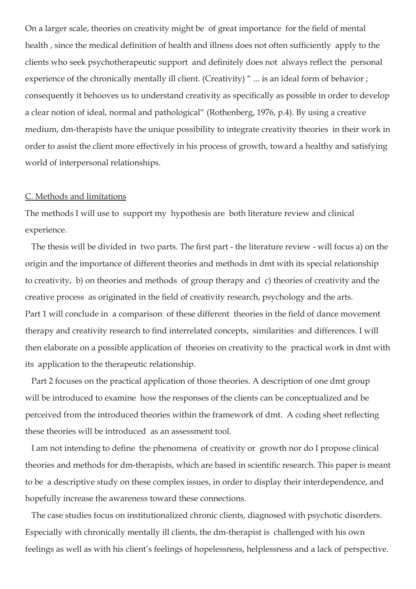On a larger scale, theories on creativity might be of great importance for the field of mental health , since the medical definition of health and illness does not often sufficiently apply to the clients who seek psychotherapeutic support and definitely does not always reflect the personal experience of the chronically mentally ill client. (Creativity) " ... is an ideal form of behavior ; consequently it behooves us to understand creativity as specifically as possible in order to develop a clear notion of ideal, normal and pathological" (Rothenberg, 1976, p.4). By using a creative medium, dm-therapists have the unique possibility to integrate creativity theories in their work in order to assist the client more effectively in his process of growth, toward a healthy and satisfying world of interpersonal relationships.

#### C. Methods and limitations

The methods I will use to support my hypothesis are both literature review and clinical experience.

 The thesis will be divided in two parts. The first part - the literature review - will focus a) on the origin and the importance of different theories and methods in dmt with its special relationship to creativity, b) on theories and methods of group therapy and c) theories of creativity and the creative process as originated in the field of creativity research, psychology and the arts. Part 1 will conclude in a comparison of these different theories in the field of dance movement therapy and creativity research to find interrelated concepts, similarities and differences. I will then elaborate on a possible application of theories on creativity to the practical work in dmt with its application to the therapeutic relationship.

 Part 2 focuses on the practical application of those theories. A description of one dmt group will be introduced to examine how the responses of the clients can be conceptualized and be perceived from the introduced theories within the framework of dmt. A coding sheet reflecting these theories will be introduced as an assessment tool.

 I am not intending to define the phenomena of creativity or growth nor do I propose clinical theories and methods for dm-therapists, which are based in scientific research. This paper is meant to be a descriptive study on these complex issues, in order to display their interdependence, and hopefully increase the awareness toward these connections.

 The case studies focus on institutionalized chronic clients, diagnosed with psychotic disorders. Especially with chronically mentally ill clients, the dm-therapist is challenged with his own feelings as well as with his client's feelings of hopelessness, helplessness and a lack of perspective.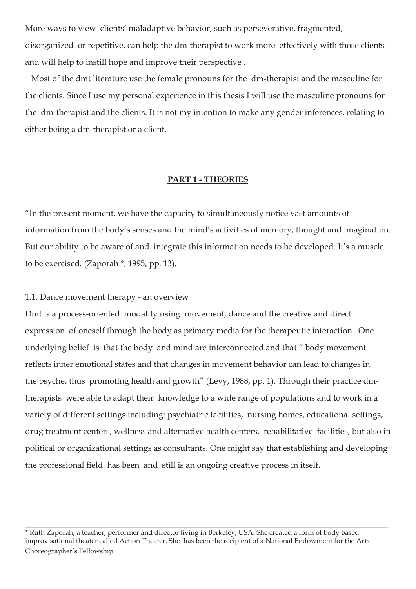More ways to view clients' maladaptive behavior, such as perseverative, fragmented, disorganized or repetitive, can help the dm-therapist to work more effectively with those clients and will help to instill hope and improve their perspective .

 Most of the dmt literature use the female pronouns for the dm-therapist and the masculine for the clients. Since I use my personal experience in this thesis I will use the masculine pronouns for the dm-therapist and the clients. It is not my intention to make any gender inferences, relating to either being a dm-therapist or a client.

#### **PART 1 - THEORIES**

"In the present moment, we have the capacity to simultaneously notice vast amounts of information from the body's senses and the mind's activities of memory, thought and imagination. But our ability to be aware of and integrate this information needs to be developed. It's a muscle to be exercised. (Zaporah \*, 1995, pp. 13).

### 1.1. Dance movement therapy - an overview

Dmt is a process-oriented modality using movement, dance and the creative and direct expression of oneself through the body as primary media for the therapeutic interaction. One underlying belief is that the body and mind are interconnected and that " body movement reflects inner emotional states and that changes in movement behavior can lead to changes in the psyche, thus promoting health and growth" (Levy, 1988, pp. 1). Through their practice dmtherapists were able to adapt their knowledge to a wide range of populations and to work in a variety of different settings including: psychiatric facilities, nursing homes, educational settings, drug treatment centers, wellness and alternative health centers, rehabilitative facilities, but also in political or organizational settings as consultants. One might say that establishing and developing the professional field has been and still is an ongoing creative process in itself.

 $\_$  , and the set of the set of the set of the set of the set of the set of the set of the set of the set of the set of the set of the set of the set of the set of the set of the set of the set of the set of the set of th

<sup>\*</sup> Ruth Zaporah, a teacher, performer and director living in Berkeley, USA. She created a form of body based improvisational theater called Action Theater. She has been the recipient of a National Endowment for the Arts Choreographer's Fellowship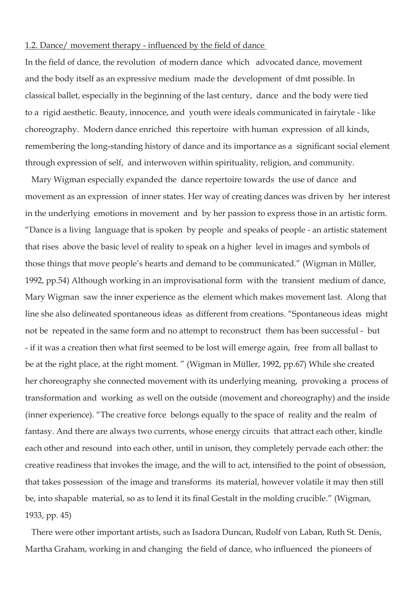#### 1.2. Dance/ movement therapy - influenced by the field of dance

In the field of dance, the revolution of modern dance which advocated dance, movement and the body itself as an expressive medium made the development of dmt possible. In classical ballet, especially in the beginning of the last century, dance and the body were tied to a rigid aesthetic. Beauty, innocence, and youth were ideals communicated in fairytale - like choreography. Modern dance enriched this repertoire with human expression of all kinds, remembering the long-standing history of dance and its importance as a significant social element through expression of self, and interwoven within spirituality, religion, and community.

 Mary Wigman especially expanded the dance repertoire towards the use of dance and movement as an expression of inner states. Her way of creating dances was driven by her interest in the underlying emotions in movement and by her passion to express those in an artistic form. "Dance is a living language that is spoken by people and speaks of people - an artistic statement that rises above the basic level of reality to speak on a higher level in images and symbols of those things that move people's hearts and demand to be communicated." (Wigman in Müller, 1992, pp.54) Although working in an improvisational form with the transient medium of dance, Mary Wigman saw the inner experience as the element which makes movement last. Along that line she also delineated spontaneous ideas as different from creations. "Spontaneous ideas might not be repeated in the same form and no attempt to reconstruct them has been successful - but - if it was a creation then what first seemed to be lost will emerge again, free from all ballast to be at the right place, at the right moment. " (Wigman in Müller, 1992, pp.67) While she created her choreography she connected movement with its underlying meaning, provoking a process of transformation and working as well on the outside (movement and choreography) and the inside (inner experience). "The creative force belongs equally to the space of reality and the realm of fantasy. And there are always two currents, whose energy circuits that attract each other, kindle each other and resound into each other, until in unison, they completely pervade each other: the creative readiness that invokes the image, and the will to act, intensified to the point of obsession, that takes possession of the image and transforms its material, however volatile it may then still be, into shapable material, so as to lend it its final Gestalt in the molding crucible." (Wigman, 1933, pp. 45)

 There were other important artists, such as Isadora Duncan, Rudolf von Laban, Ruth St. Denis, Martha Graham, working in and changing the field of dance, who influenced the pioneers of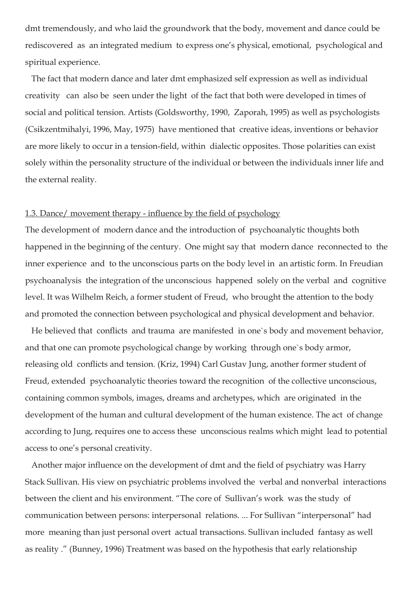dmt tremendously, and who laid the groundwork that the body, movement and dance could be rediscovered as an integrated medium to express one's physical, emotional, psychological and spiritual experience.

 The fact that modern dance and later dmt emphasized self expression as well as individual creativity can also be seen under the light of the fact that both were developed in times of social and political tension. Artists (Goldsworthy, 1990, Zaporah, 1995) as well as psychologists (Csikzentmihalyi, 1996, May, 1975) have mentioned that creative ideas, inventions or behavior are more likely to occur in a tension-field, within dialectic opposites. Those polarities can exist solely within the personality structure of the individual or between the individuals inner life and the external reality.

# 1.3. Dance/ movement therapy - influence by the field of psychology

The development of modern dance and the introduction of psychoanalytic thoughts both happened in the beginning of the century. One might say that modern dance reconnected to the inner experience and to the unconscious parts on the body level in an artistic form. In Freudian psychoanalysis the integration of the unconscious happened solely on the verbal and cognitive level. It was Wilhelm Reich, a former student of Freud, who brought the attention to the body and promoted the connection between psychological and physical development and behavior.

 He believed that conflicts and trauma are manifested in one`s body and movement behavior, and that one can promote psychological change by working through one`s body armor, releasing old conflicts and tension. (Kriz, 1994) Carl Gustav Jung, another former student of Freud, extended psychoanalytic theories toward the recognition of the collective unconscious, containing common symbols, images, dreams and archetypes, which are originated in the development of the human and cultural development of the human existence. The act of change according to Jung, requires one to access these unconscious realms which might lead to potential access to one's personal creativity.

 Another major influence on the development of dmt and the field of psychiatry was Harry Stack Sullivan. His view on psychiatric problems involved the verbal and nonverbal interactions between the client and his environment. "The core of Sullivan's work was the study of communication between persons: interpersonal relations. ... For Sullivan "interpersonal" had more meaning than just personal overt actual transactions. Sullivan included fantasy as well as reality ." (Bunney, 1996) Treatment was based on the hypothesis that early relationship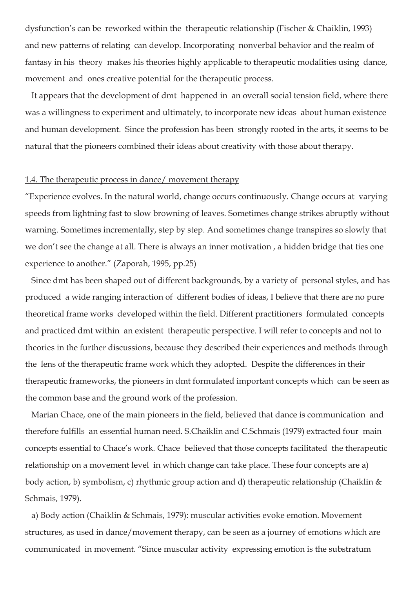dysfunction's can be reworked within the therapeutic relationship (Fischer & Chaiklin, 1993) and new patterns of relating can develop. Incorporating nonverbal behavior and the realm of fantasy in his theory makes his theories highly applicable to therapeutic modalities using dance, movement and ones creative potential for the therapeutic process.

 It appears that the development of dmt happened in an overall social tension field, where there was a willingness to experiment and ultimately, to incorporate new ideas about human existence and human development. Since the profession has been strongly rooted in the arts, it seems to be natural that the pioneers combined their ideas about creativity with those about therapy.

# 1.4. The therapeutic process in dance/ movement therapy

"Experience evolves. In the natural world, change occurs continuously. Change occurs at varying speeds from lightning fast to slow browning of leaves. Sometimes change strikes abruptly without warning. Sometimes incrementally, step by step. And sometimes change transpires so slowly that we don't see the change at all. There is always an inner motivation , a hidden bridge that ties one experience to another." (Zaporah, 1995, pp.25)

 Since dmt has been shaped out of different backgrounds, by a variety of personal styles, and has produced a wide ranging interaction of different bodies of ideas, I believe that there are no pure theoretical frame works developed within the field. Different practitioners formulated concepts and practiced dmt within an existent therapeutic perspective. I will refer to concepts and not to theories in the further discussions, because they described their experiences and methods through the lens of the therapeutic frame work which they adopted. Despite the differences in their therapeutic frameworks, the pioneers in dmt formulated important concepts which can be seen as the common base and the ground work of the profession.

 Marian Chace, one of the main pioneers in the field, believed that dance is communication and therefore fulfills an essential human need. S.Chaiklin and C.Schmais (1979) extracted four main concepts essential to Chace's work. Chace believed that those concepts facilitated the therapeutic relationship on a movement level in which change can take place. These four concepts are a) body action, b) symbolism, c) rhythmic group action and d) therapeutic relationship (Chaiklin & Schmais, 1979).

 a) Body action (Chaiklin & Schmais, 1979): muscular activities evoke emotion. Movement structures, as used in dance/movement therapy, can be seen as a journey of emotions which are communicated in movement. "Since muscular activity expressing emotion is the substratum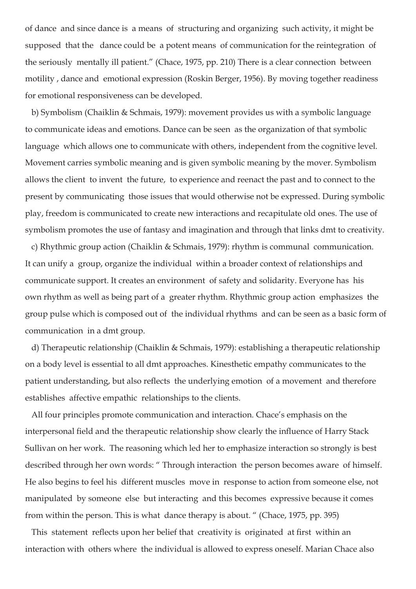of dance and since dance is a means of structuring and organizing such activity, it might be supposed that the dance could be a potent means of communication for the reintegration of the seriously mentally ill patient." (Chace, 1975, pp. 210) There is a clear connection between motility , dance and emotional expression (Roskin Berger, 1956). By moving together readiness for emotional responsiveness can be developed.

 b) Symbolism (Chaiklin & Schmais, 1979): movement provides us with a symbolic language to communicate ideas and emotions. Dance can be seen as the organization of that symbolic language which allows one to communicate with others, independent from the cognitive level. Movement carries symbolic meaning and is given symbolic meaning by the mover. Symbolism allows the client to invent the future, to experience and reenact the past and to connect to the present by communicating those issues that would otherwise not be expressed. During symbolic play, freedom is communicated to create new interactions and recapitulate old ones. The use of symbolism promotes the use of fantasy and imagination and through that links dmt to creativity.

 c) Rhythmic group action (Chaiklin & Schmais, 1979): rhythm is communal communication. It can unify a group, organize the individual within a broader context of relationships and communicate support. It creates an environment of safety and solidarity. Everyone has his own rhythm as well as being part of a greater rhythm. Rhythmic group action emphasizes the group pulse which is composed out of the individual rhythms and can be seen as a basic form of communication in a dmt group.

 d) Therapeutic relationship (Chaiklin & Schmais, 1979): establishing a therapeutic relationship on a body level is essential to all dmt approaches. Kinesthetic empathy communicates to the patient understanding, but also reflects the underlying emotion of a movement and therefore establishes affective empathic relationships to the clients.

 All four principles promote communication and interaction. Chace's emphasis on the interpersonal field and the therapeutic relationship show clearly the influence of Harry Stack Sullivan on her work. The reasoning which led her to emphasize interaction so strongly is best described through her own words: " Through interaction the person becomes aware of himself. He also begins to feel his different muscles move in response to action from someone else, not manipulated by someone else but interacting and this becomes expressive because it comes from within the person. This is what dance therapy is about. " (Chace, 1975, pp. 395)

 This statement reflects upon her belief that creativity is originated at first within an interaction with others where the individual is allowed to express oneself. Marian Chace also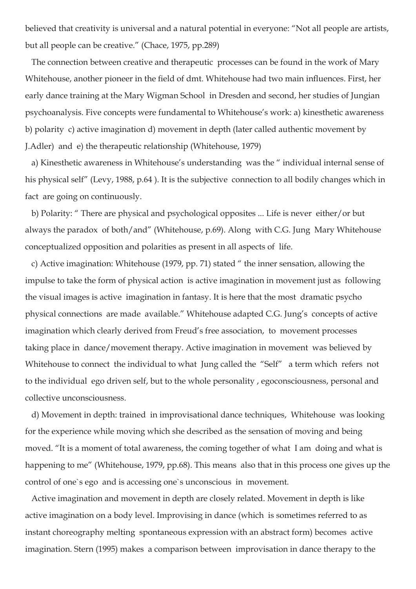believed that creativity is universal and a natural potential in everyone: "Not all people are artists, but all people can be creative." (Chace, 1975, pp.289)

 The connection between creative and therapeutic processes can be found in the work of Mary Whitehouse, another pioneer in the field of dmt. Whitehouse had two main influences. First, her early dance training at the Mary Wigman School in Dresden and second, her studies of Jungian psychoanalysis. Five concepts were fundamental to Whitehouse's work: a) kinesthetic awareness b) polarity c) active imagination d) movement in depth (later called authentic movement by J.Adler) and e) the therapeutic relationship (Whitehouse, 1979)

 a) Kinesthetic awareness in Whitehouse's understanding was the " individual internal sense of his physical self" (Levy, 1988, p.64 ). It is the subjective connection to all bodily changes which in fact are going on continuously.

 b) Polarity: " There are physical and psychological opposites ... Life is never either/or but always the paradox of both/and" (Whitehouse, p.69). Along with C.G. Jung Mary Whitehouse conceptualized opposition and polarities as present in all aspects of life.

 c) Active imagination: Whitehouse (1979, pp. 71) stated " the inner sensation, allowing the impulse to take the form of physical action is active imagination in movement just as following the visual images is active imagination in fantasy. It is here that the most dramatic psycho physical connections are made available." Whitehouse adapted C.G. Jung's concepts of active imagination which clearly derived from Freud's free association, to movement processes taking place in dance/movement therapy. Active imagination in movement was believed by Whitehouse to connect the individual to what Jung called the "Self" a term which refers not to the individual ego driven self, but to the whole personality , egoconsciousness, personal and collective unconsciousness.

 d) Movement in depth: trained in improvisational dance techniques, Whitehouse was looking for the experience while moving which she described as the sensation of moving and being moved. "It is a moment of total awareness, the coming together of what I am doing and what is happening to me" (Whitehouse, 1979, pp.68). This means also that in this process one gives up the control of one`s ego and is accessing one`s unconscious in movement.

 Active imagination and movement in depth are closely related. Movement in depth is like active imagination on a body level. Improvising in dance (which is sometimes referred to as instant choreography melting spontaneous expression with an abstract form) becomes active imagination. Stern (1995) makes a comparison between improvisation in dance therapy to the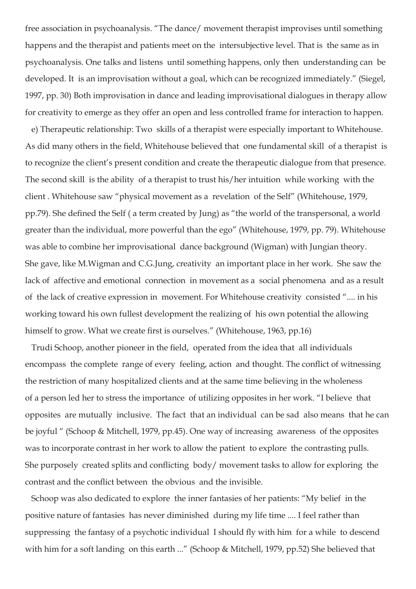free association in psychoanalysis. "The dance/ movement therapist improvises until something happens and the therapist and patients meet on the intersubjective level. That is the same as in psychoanalysis. One talks and listens until something happens, only then understanding can be developed. It is an improvisation without a goal, which can be recognized immediately." (Siegel, 1997, pp. 30) Both improvisation in dance and leading improvisational dialogues in therapy allow for creativity to emerge as they offer an open and less controlled frame for interaction to happen.

 e) Therapeutic relationship: Two skills of a therapist were especially important to Whitehouse. As did many others in the field, Whitehouse believed that one fundamental skill of a therapist is to recognize the client's present condition and create the therapeutic dialogue from that presence. The second skill is the ability of a therapist to trust his/her intuition while working with the client . Whitehouse saw "physical movement as a revelation of the Self" (Whitehouse, 1979, pp.79). She defined the Self ( a term created by Jung) as "the world of the transpersonal, a world greater than the individual, more powerful than the ego" (Whitehouse, 1979, pp. 79). Whitehouse was able to combine her improvisational dance background (Wigman) with Jungian theory. She gave, like M.Wigman and C.G.Jung, creativity an important place in her work. She saw the lack of affective and emotional connection in movement as a social phenomena and as a result of the lack of creative expression in movement. For Whitehouse creativity consisted ".... in his working toward his own fullest development the realizing of his own potential the allowing himself to grow. What we create first is ourselves." (Whitehouse, 1963, pp.16)

 Trudi Schoop, another pioneer in the field, operated from the idea that all individuals encompass the complete range of every feeling, action and thought. The conflict of witnessing the restriction of many hospitalized clients and at the same time believing in the wholeness of a person led her to stress the importance of utilizing opposites in her work. "I believe that opposites are mutually inclusive. The fact that an individual can be sad also means that he can be joyful " (Schoop & Mitchell, 1979, pp.45). One way of increasing awareness of the opposites was to incorporate contrast in her work to allow the patient to explore the contrasting pulls. She purposely created splits and conflicting body/ movement tasks to allow for exploring the contrast and the conflict between the obvious and the invisible.

 Schoop was also dedicated to explore the inner fantasies of her patients: "My belief in the positive nature of fantasies has never diminished during my life time .... I feel rather than suppressing the fantasy of a psychotic individual I should fly with him for a while to descend with him for a soft landing on this earth ..." (Schoop & Mitchell, 1979, pp.52) She believed that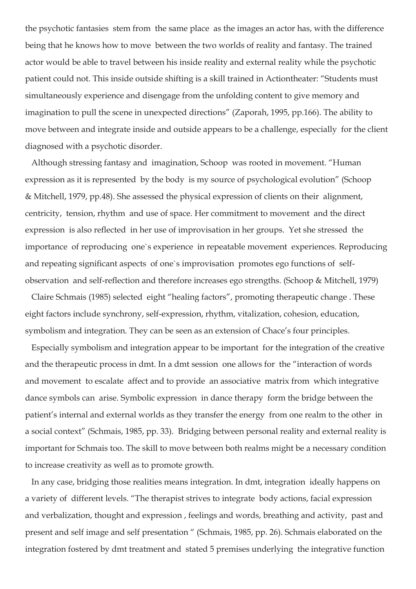the psychotic fantasies stem from the same place as the images an actor has, with the difference being that he knows how to move between the two worlds of reality and fantasy. The trained actor would be able to travel between his inside reality and external reality while the psychotic patient could not. This inside outside shifting is a skill trained in Actiontheater: "Students must simultaneously experience and disengage from the unfolding content to give memory and imagination to pull the scene in unexpected directions" (Zaporah, 1995, pp.166). The ability to move between and integrate inside and outside appears to be a challenge, especially for the client diagnosed with a psychotic disorder.

 Although stressing fantasy and imagination, Schoop was rooted in movement. "Human expression as it is represented by the body is my source of psychological evolution" (Schoop & Mitchell, 1979, pp.48). She assessed the physical expression of clients on their alignment, centricity, tension, rhythm and use of space. Her commitment to movement and the direct expression is also reflected in her use of improvisation in her groups. Yet she stressed the importance of reproducing one`s experience in repeatable movement experiences. Reproducing and repeating significant aspects of one`s improvisation promotes ego functions of selfobservation and self-reflection and therefore increases ego strengths. (Schoop & Mitchell, 1979)

 Claire Schmais (1985) selected eight "healing factors", promoting therapeutic change . These eight factors include synchrony, self-expression, rhythm, vitalization, cohesion, education, symbolism and integration. They can be seen as an extension of Chace's four principles.

 Especially symbolism and integration appear to be important for the integration of the creative and the therapeutic process in dmt. In a dmt session one allows for the "interaction of words and movement to escalate affect and to provide an associative matrix from which integrative dance symbols can arise. Symbolic expression in dance therapy form the bridge between the patient's internal and external worlds as they transfer the energy from one realm to the other in a social context" (Schmais, 1985, pp. 33). Bridging between personal reality and external reality is important for Schmais too. The skill to move between both realms might be a necessary condition to increase creativity as well as to promote growth.

 In any case, bridging those realities means integration. In dmt, integration ideally happens on a variety of different levels. "The therapist strives to integrate body actions, facial expression and verbalization, thought and expression , feelings and words, breathing and activity, past and present and self image and self presentation " (Schmais, 1985, pp. 26). Schmais elaborated on the integration fostered by dmt treatment and stated 5 premises underlying the integrative function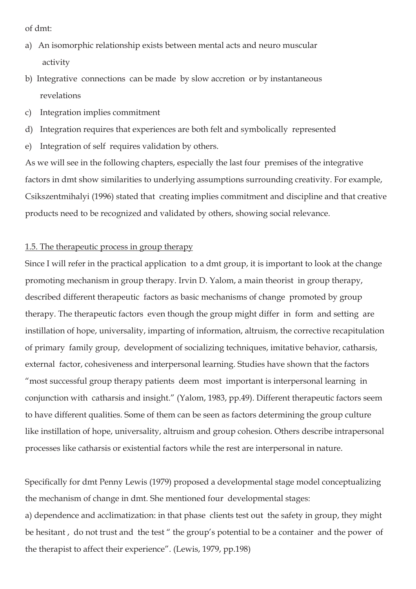of dmt:

- a) An isomorphic relationship exists between mental acts and neuro muscular activity
- b) Integrative connections can be made by slow accretion or by instantaneous revelations
- c) Integration implies commitment
- d) Integration requires that experiences are both felt and symbolically represented
- e) Integration of self requires validation by others.

As we will see in the following chapters, especially the last four premises of the integrative factors in dmt show similarities to underlying assumptions surrounding creativity. For example, Csikszentmihalyi (1996) stated that creating implies commitment and discipline and that creative products need to be recognized and validated by others, showing social relevance.

# 1.5. The therapeutic process in group therapy

Since I will refer in the practical application to a dmt group, it is important to look at the change promoting mechanism in group therapy. Irvin D. Yalom, a main theorist in group therapy, described different therapeutic factors as basic mechanisms of change promoted by group therapy. The therapeutic factors even though the group might differ in form and setting are instillation of hope, universality, imparting of information, altruism, the corrective recapitulation of primary family group, development of socializing techniques, imitative behavior, catharsis, external factor, cohesiveness and interpersonal learning. Studies have shown that the factors "most successful group therapy patients deem most important is interpersonal learning in conjunction with catharsis and insight." (Yalom, 1983, pp.49). Different therapeutic factors seem to have different qualities. Some of them can be seen as factors determining the group culture like instillation of hope, universality, altruism and group cohesion. Others describe intrapersonal processes like catharsis or existential factors while the rest are interpersonal in nature.

Specifically for dmt Penny Lewis (1979) proposed a developmental stage model conceptualizing the mechanism of change in dmt. She mentioned four developmental stages:

a) dependence and acclimatization: in that phase clients test out the safety in group, they might be hesitant , do not trust and the test " the group's potential to be a container and the power of the therapist to affect their experience". (Lewis, 1979, pp.198)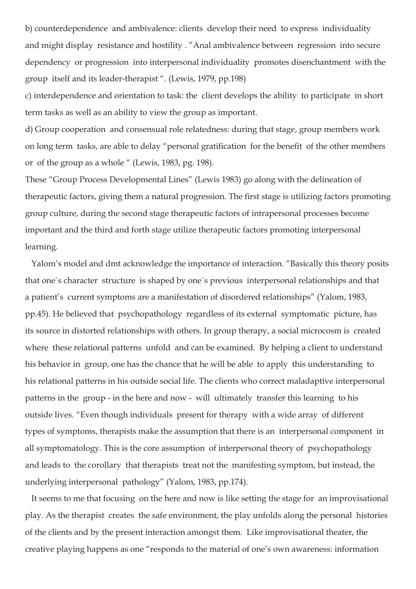b) counterdependence and ambivalence: clients develop their need to express individuality and might display resistance and hostility . "Anal ambivalence between regression into secure dependency or progression into interpersonal individuality promotes disenchantment with the group itself and its leader-therapist ". (Lewis, 1979, pp.198)

c) interdependence and orientation to task: the client develops the ability to participate in short term tasks as well as an ability to view the group as important.

d) Group cooperation and consensual role relatedness: during that stage, group members work on long term tasks, are able to delay "personal gratification for the benefit of the other members or of the group as a whole " (Lewis, 1983, pg. 198).

These "Group Process Developmental Lines" (Lewis 1983) go along with the delineation of therapeutic factors, giving them a natural progression. The first stage is utilizing factors promoting group culture, during the second stage therapeutic factors of intrapersonal processes become important and the third and forth stage utilize therapeutic factors promoting interpersonal learning.

 Yalom's model and dmt acknowledge the importance of interaction. "Basically this theory posits that one`s character structure is shaped by one`s previous interpersonal relationships and that a patient's current symptoms are a manifestation of disordered relationships" (Yalom, 1983, pp.45). He believed that psychopathology regardless of its external symptomatic picture, has its source in distorted relationships with others. In group therapy, a social microcosm is created where these relational patterns unfold and can be examined. By helping a client to understand his behavior in group, one has the chance that he will be able to apply this understanding to his relational patterns in his outside social life. The clients who correct maladaptive interpersonal patterns in the group - in the here and now - will ultimately transfer this learning to his outside lives. "Even though individuals present for therapy with a wide array of different types of symptoms, therapists make the assumption that there is an interpersonal component in all symptomatology. This is the core assumption of interpersonal theory of psychopathology and leads to the corollary that therapists treat not the manifesting symptom, but instead, the underlying interpersonal pathology" (Yalom, 1983, pp.174).

 It seems to me that focusing on the here and now is like setting the stage for an improvisational play. As the therapist creates the safe environment, the play unfolds along the personal histories of the clients and by the present interaction amongst them. Like improvisational theater, the creative playing happens as one "responds to the material of one's own awareness: information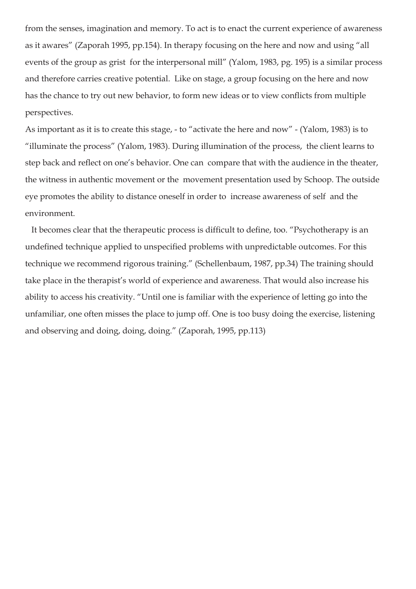from the senses, imagination and memory. To act is to enact the current experience of awareness as it awares" (Zaporah 1995, pp.154). In therapy focusing on the here and now and using "all events of the group as grist for the interpersonal mill" (Yalom, 1983, pg. 195) is a similar process and therefore carries creative potential. Like on stage, a group focusing on the here and now has the chance to try out new behavior, to form new ideas or to view conflicts from multiple perspectives.

As important as it is to create this stage, - to "activate the here and now" - (Yalom, 1983) is to "illuminate the process" (Yalom, 1983). During illumination of the process, the client learns to step back and reflect on one's behavior. One can compare that with the audience in the theater, the witness in authentic movement or the movement presentation used by Schoop. The outside eye promotes the ability to distance oneself in order to increase awareness of self and the environment.

 It becomes clear that the therapeutic process is difficult to define, too. "Psychotherapy is an undefined technique applied to unspecified problems with unpredictable outcomes. For this technique we recommend rigorous training." (Schellenbaum, 1987, pp.34) The training should take place in the therapist's world of experience and awareness. That would also increase his ability to access his creativity. "Until one is familiar with the experience of letting go into the unfamiliar, one often misses the place to jump off. One is too busy doing the exercise, listening and observing and doing, doing, doing." (Zaporah, 1995, pp.113)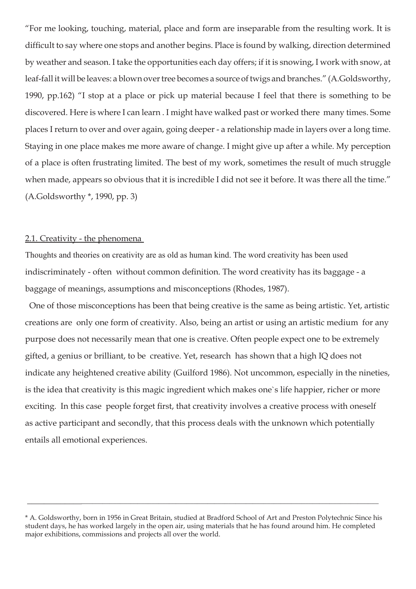"For me looking, touching, material, place and form are inseparable from the resulting work. It is difficult to say where one stops and another begins. Place is found by walking, direction determined by weather and season. I take the opportunities each day offers; if it is snowing, I work with snow, at leaf-fall it will be leaves: a blown over tree becomes a source of twigs and branches." (A.Goldsworthy, 1990, pp.162) "I stop at a place or pick up material because I feel that there is something to be discovered. Here is where I can learn . I might have walked past or worked there many times. Some places I return to over and over again, going deeper - a relationship made in layers over a long time. Staying in one place makes me more aware of change. I might give up after a while. My perception of a place is often frustrating limited. The best of my work, sometimes the result of much struggle when made, appears so obvious that it is incredible I did not see it before. It was there all the time." (A.Goldsworthy \*, 1990, pp. 3)

#### 2.1. Creativity - the phenomena

Thoughts and theories on creativity are as old as human kind. The word creativity has been used indiscriminately - often without common definition. The word creativity has its baggage - a baggage of meanings, assumptions and misconceptions (Rhodes, 1987).

 One of those misconceptions has been that being creative is the same as being artistic. Yet, artistic creations are only one form of creativity. Also, being an artist or using an artistic medium for any purpose does not necessarily mean that one is creative. Often people expect one to be extremely gifted, a genius or brilliant, to be creative. Yet, research has shown that a high IQ does not indicate any heightened creative ability (Guilford 1986). Not uncommon, especially in the nineties, is the idea that creativity is this magic ingredient which makes one`s life happier, richer or more exciting. In this case people forget first, that creativity involves a creative process with oneself as active participant and secondly, that this process deals with the unknown which potentially entails all emotional experiences.

\_\_\_\_\_\_\_\_\_\_\_\_\_\_\_\_\_\_\_\_\_\_\_\_\_\_\_\_\_\_\_\_\_\_\_\_\_\_\_\_\_\_\_\_\_\_\_\_\_\_\_\_\_\_\_\_\_\_\_\_\_\_\_\_\_\_\_\_\_\_\_\_\_\_\_\_\_\_\_\_\_\_\_\_\_\_\_\_\_\_\_\_\_\_\_\_\_\_

<sup>\*</sup> A. Goldsworthy, born in 1956 in Great Britain, studied at Bradford School of Art and Preston Polytechnic Since his student days, he has worked largely in the open air, using materials that he has found around him. He completed major exhibitions, commissions and projects all over the world.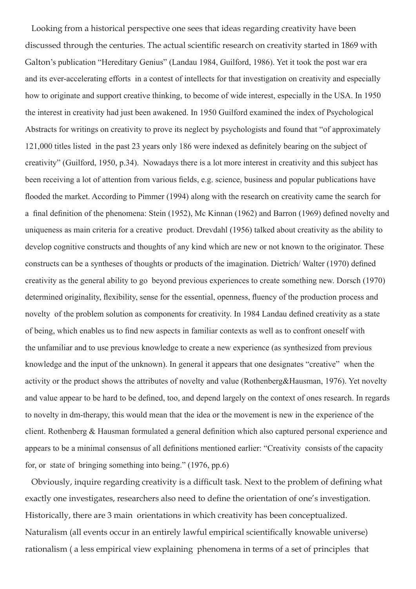Looking from a historical perspective one sees that ideas regarding creativity have been discussed through the centuries. The actual scientific research on creativity started in 1869 with Galton's publication "Hereditary Genius" (Landau 1984, Guilford, 1986). Yet it took the post war era and its ever-accelerating efforts in a contest of intellects for that investigation on creativity and especially how to originate and support creative thinking, to become of wide interest, especially in the USA. In 1950 the interest in creativity had just been awakened. In 1950 Guilford examined the index of Psychological Abstracts for writings on creativity to prove its neglect by psychologists and found that "of approximately 121,000 titles listed in the past 23 years only 186 were indexed as definitely bearing on the subject of creativity" (Guilford, 1950, p.34). Nowadays there is a lot more interest in creativity and this subject has been receiving a lot of attention from various fields, e.g. science, business and popular publications have flooded the market. According to Pimmer (1994) along with the research on creativity came the search for a final definition of the phenomena: Stein (1952), Mc Kinnan (1962) and Barron (1969) defined novelty and uniqueness as main criteria for a creative product. Drevdahl (1956) talked about creativity as the ability to develop cognitive constructs and thoughts of any kind which are new or not known to the originator. These constructs can be a syntheses of thoughts or products of the imagination. Dietrich/ Walter (1970) defined creativity as the general ability to go beyond previous experiences to create something new. Dorsch (1970) determined originality, flexibility, sense for the essential, openness, fluency of the production process and novelty of the problem solution as components for creativity. In 1984 Landau defined creativity as a state of being, which enables us to find new aspects in familiar contexts as well as to confront oneself with the unfamiliar and to use previous knowledge to create a new experience (as synthesized from previous knowledge and the input of the unknown). In general it appears that one designates "creative" when the activity or the product shows the attributes of novelty and value (Rothenberg&Hausman, 1976). Yet novelty and value appear to be hard to be defined, too, and depend largely on the context of ones research. In regards to novelty in dm-therapy, this would mean that the idea or the movement is new in the experience of the client. Rothenberg & Hausman formulated a general definition which also captured personal experience and appears to be a minimal consensus of all definitions mentioned earlier: "Creativity consists of the capacity for, or state of bringing something into being." (1976, pp.6)

 Obviously, inquire regarding creativity is a difficult task. Next to the problem of defining what exactly one investigates, researchers also need to define the orientation of one's investigation. Historically, there are 3 main orientations in which creativity has been conceptualized. Naturalism (all events occur in an entirely lawful empirical scientifically knowable universe) rationalism ( a less empirical view explaining phenomena in terms of a set of principles that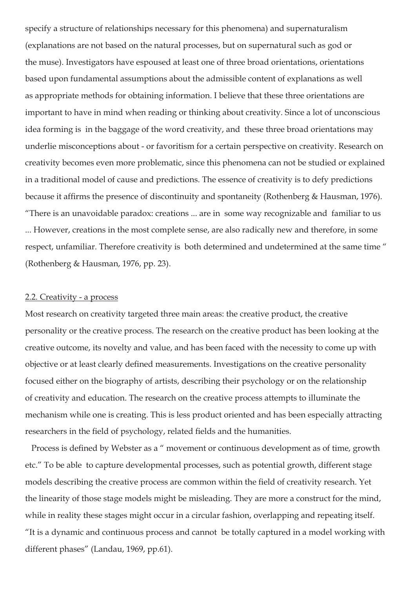specify a structure of relationships necessary for this phenomena) and supernaturalism (explanations are not based on the natural processes, but on supernatural such as god or the muse). Investigators have espoused at least one of three broad orientations, orientations based upon fundamental assumptions about the admissible content of explanations as well as appropriate methods for obtaining information. I believe that these three orientations are important to have in mind when reading or thinking about creativity. Since a lot of unconscious idea forming is in the baggage of the word creativity, and these three broad orientations may underlie misconceptions about - or favoritism for a certain perspective on creativity. Research on creativity becomes even more problematic, since this phenomena can not be studied or explained in a traditional model of cause and predictions. The essence of creativity is to defy predictions because it affirms the presence of discontinuity and spontaneity (Rothenberg & Hausman, 1976). "There is an unavoidable paradox: creations ... are in some way recognizable and familiar to us ... However, creations in the most complete sense, are also radically new and therefore, in some respect, unfamiliar. Therefore creativity is both determined and undetermined at the same time " (Rothenberg & Hausman, 1976, pp. 23).

#### 2.2. Creativity - a process

Most research on creativity targeted three main areas: the creative product, the creative personality or the creative process. The research on the creative product has been looking at the creative outcome, its novelty and value, and has been faced with the necessity to come up with objective or at least clearly defined measurements. Investigations on the creative personality focused either on the biography of artists, describing their psychology or on the relationship of creativity and education. The research on the creative process attempts to illuminate the mechanism while one is creating. This is less product oriented and has been especially attracting researchers in the field of psychology, related fields and the humanities.

 Process is defined by Webster as a " movement or continuous development as of time, growth etc." To be able to capture developmental processes, such as potential growth, different stage models describing the creative process are common within the field of creativity research. Yet the linearity of those stage models might be misleading. They are more a construct for the mind, while in reality these stages might occur in a circular fashion, overlapping and repeating itself. "It is a dynamic and continuous process and cannot be totally captured in a model working with different phases" (Landau, 1969, pp.61).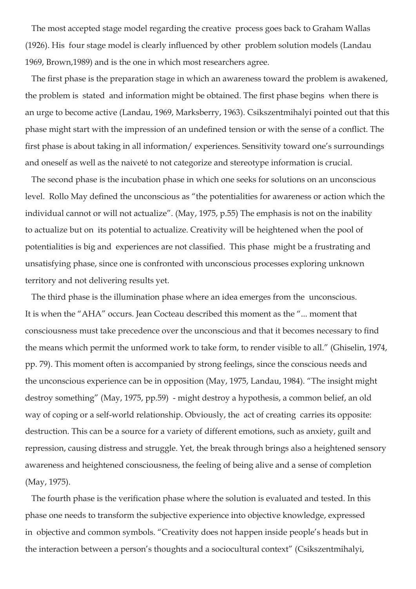The most accepted stage model regarding the creative process goes back to Graham Wallas (1926). His four stage model is clearly influenced by other problem solution models (Landau 1969, Brown,1989) and is the one in which most researchers agree.

 The first phase is the preparation stage in which an awareness toward the problem is awakened, the problem is stated and information might be obtained. The first phase begins when there is an urge to become active (Landau, 1969, Marksberry, 1963). Csikszentmihalyi pointed out that this phase might start with the impression of an undefined tension or with the sense of a conflict. The first phase is about taking in all information/ experiences. Sensitivity toward one's surroundings and oneself as well as the naiveté to not categorize and stereotype information is crucial.

 The second phase is the incubation phase in which one seeks for solutions on an unconscious level. Rollo May defined the unconscious as "the potentialities for awareness or action which the individual cannot or will not actualize". (May, 1975, p.55) The emphasis is not on the inability to actualize but on its potential to actualize. Creativity will be heightened when the pool of potentialities is big and experiences are not classified. This phase might be a frustrating and unsatisfying phase, since one is confronted with unconscious processes exploring unknown territory and not delivering results yet.

 The third phase is the illumination phase where an idea emerges from the unconscious. It is when the "AHA" occurs. Jean Cocteau described this moment as the "... moment that consciousness must take precedence over the unconscious and that it becomes necessary to find the means which permit the unformed work to take form, to render visible to all." (Ghiselin, 1974, pp. 79). This moment often is accompanied by strong feelings, since the conscious needs and the unconscious experience can be in opposition (May, 1975, Landau, 1984). "The insight might destroy something" (May, 1975, pp.59) - might destroy a hypothesis, a common belief, an old way of coping or a self-world relationship. Obviously, the act of creating carries its opposite: destruction. This can be a source for a variety of different emotions, such as anxiety, guilt and repression, causing distress and struggle. Yet, the break through brings also a heightened sensory awareness and heightened consciousness, the feeling of being alive and a sense of completion (May, 1975).

 The fourth phase is the verification phase where the solution is evaluated and tested. In this phase one needs to transform the subjective experience into objective knowledge, expressed in objective and common symbols. "Creativity does not happen inside people's heads but in the interaction between a person's thoughts and a sociocultural context" (Csikszentmihalyi,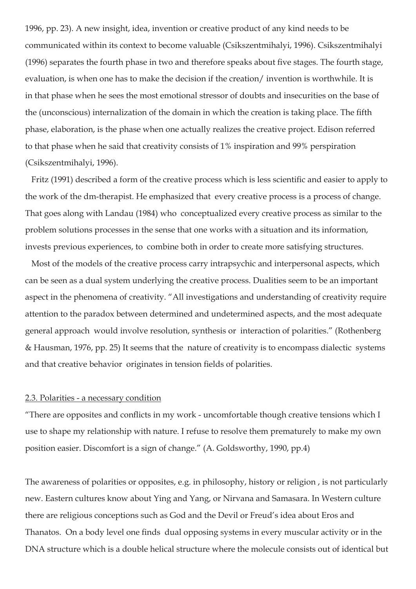1996, pp. 23). A new insight, idea, invention or creative product of any kind needs to be communicated within its context to become valuable (Csikszentmihalyi, 1996). Csikszentmihalyi (1996) separates the fourth phase in two and therefore speaks about five stages. The fourth stage, evaluation, is when one has to make the decision if the creation/ invention is worthwhile. It is in that phase when he sees the most emotional stressor of doubts and insecurities on the base of the (unconscious) internalization of the domain in which the creation is taking place. The fifth phase, elaboration, is the phase when one actually realizes the creative project. Edison referred to that phase when he said that creativity consists of 1% inspiration and 99% perspiration (Csikszentmihalyi, 1996).

 Fritz (1991) described a form of the creative process which is less scientific and easier to apply to the work of the dm-therapist. He emphasized that every creative process is a process of change. That goes along with Landau (1984) who conceptualized every creative process as similar to the problem solutions processes in the sense that one works with a situation and its information, invests previous experiences, to combine both in order to create more satisfying structures.

 Most of the models of the creative process carry intrapsychic and interpersonal aspects, which can be seen as a dual system underlying the creative process. Dualities seem to be an important aspect in the phenomena of creativity. "All investigations and understanding of creativity require attention to the paradox between determined and undetermined aspects, and the most adequate general approach would involve resolution, synthesis or interaction of polarities." (Rothenberg & Hausman, 1976, pp. 25) It seems that the nature of creativity is to encompass dialectic systems and that creative behavior originates in tension fields of polarities.

#### 2.3. Polarities - a necessary condition

"There are opposites and conflicts in my work - uncomfortable though creative tensions which I use to shape my relationship with nature. I refuse to resolve them prematurely to make my own position easier. Discomfort is a sign of change." (A. Goldsworthy, 1990, pp.4)

The awareness of polarities or opposites, e.g. in philosophy, history or religion , is not particularly new. Eastern cultures know about Ying and Yang, or Nirvana and Samasara. In Western culture there are religious conceptions such as God and the Devil or Freud's idea about Eros and Thanatos. On a body level one finds dual opposing systems in every muscular activity or in the DNA structure which is a double helical structure where the molecule consists out of identical but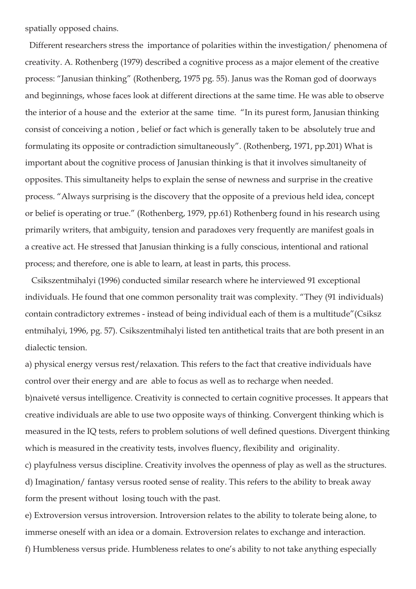spatially opposed chains.

 Different researchers stress the importance of polarities within the investigation/ phenomena of creativity. A. Rothenberg (1979) described a cognitive process as a major element of the creative process: "Janusian thinking" (Rothenberg, 1975 pg. 55). Janus was the Roman god of doorways and beginnings, whose faces look at different directions at the same time. He was able to observe the interior of a house and the exterior at the same time. "In its purest form, Janusian thinking consist of conceiving a notion , belief or fact which is generally taken to be absolutely true and formulating its opposite or contradiction simultaneously". (Rothenberg, 1971, pp.201) What is important about the cognitive process of Janusian thinking is that it involves simultaneity of opposites. This simultaneity helps to explain the sense of newness and surprise in the creative process. "Always surprising is the discovery that the opposite of a previous held idea, concept or belief is operating or true." (Rothenberg, 1979, pp.61) Rothenberg found in his research using primarily writers, that ambiguity, tension and paradoxes very frequently are manifest goals in a creative act. He stressed that Janusian thinking is a fully conscious, intentional and rational process; and therefore, one is able to learn, at least in parts, this process.

 Csikszentmihalyi (1996) conducted similar research where he interviewed 91 exceptional individuals. He found that one common personality trait was complexity. "They (91 individuals) contain contradictory extremes - instead of being individual each of them is a multitude"(Csiksz entmihalyi, 1996, pg. 57). Csikszentmihalyi listed ten antithetical traits that are both present in an dialectic tension.

a) physical energy versus rest/relaxation. This refers to the fact that creative individuals have control over their energy and are able to focus as well as to recharge when needed. b)naiveté versus intelligence. Creativity is connected to certain cognitive processes. It appears that creative individuals are able to use two opposite ways of thinking. Convergent thinking which is measured in the IQ tests, refers to problem solutions of well defined questions. Divergent thinking which is measured in the creativity tests, involves fluency, flexibility and originality.

c) playfulness versus discipline. Creativity involves the openness of play as well as the structures. d) Imagination/ fantasy versus rooted sense of reality. This refers to the ability to break away form the present without losing touch with the past.

e) Extroversion versus introversion. Introversion relates to the ability to tolerate being alone, to immerse oneself with an idea or a domain. Extroversion relates to exchange and interaction.

f) Humbleness versus pride. Humbleness relates to one's ability to not take anything especially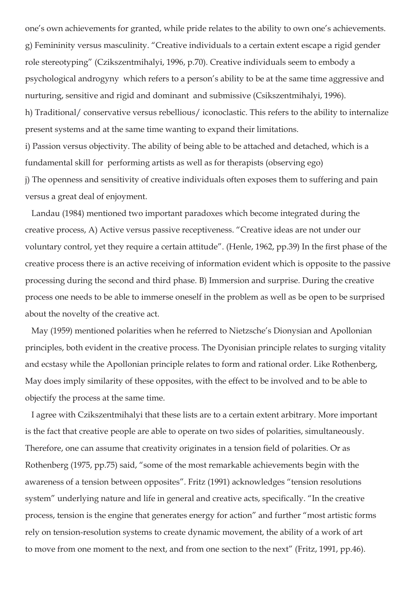one's own achievements for granted, while pride relates to the ability to own one's achievements. g) Femininity versus masculinity. "Creative individuals to a certain extent escape a rigid gender role stereotyping" (Czikszentmihalyi, 1996, p.70). Creative individuals seem to embody a psychological androgyny which refers to a person's ability to be at the same time aggressive and nurturing, sensitive and rigid and dominant and submissive (Csikszentmihalyi, 1996). h) Traditional/ conservative versus rebellious/ iconoclastic. This refers to the ability to internalize present systems and at the same time wanting to expand their limitations. i) Passion versus objectivity. The ability of being able to be attached and detached, which is a fundamental skill for performing artists as well as for therapists (observing ego) j) The openness and sensitivity of creative individuals often exposes them to suffering and pain versus a great deal of enjoyment.

 Landau (1984) mentioned two important paradoxes which become integrated during the creative process, A) Active versus passive receptiveness. "Creative ideas are not under our voluntary control, yet they require a certain attitude". (Henle, 1962, pp.39) In the first phase of the creative process there is an active receiving of information evident which is opposite to the passive processing during the second and third phase. B) Immersion and surprise. During the creative process one needs to be able to immerse oneself in the problem as well as be open to be surprised about the novelty of the creative act.

 May (1959) mentioned polarities when he referred to Nietzsche's Dionysian and Apollonian principles, both evident in the creative process. The Dyonisian principle relates to surging vitality and ecstasy while the Apollonian principle relates to form and rational order. Like Rothenberg, May does imply similarity of these opposites, with the effect to be involved and to be able to objectify the process at the same time.

 I agree with Czikszentmihalyi that these lists are to a certain extent arbitrary. More important is the fact that creative people are able to operate on two sides of polarities, simultaneously. Therefore, one can assume that creativity originates in a tension field of polarities. Or as Rothenberg (1975, pp.75) said, "some of the most remarkable achievements begin with the awareness of a tension between opposites". Fritz (1991) acknowledges "tension resolutions system" underlying nature and life in general and creative acts, specifically. "In the creative process, tension is the engine that generates energy for action" and further "most artistic forms rely on tension-resolution systems to create dynamic movement, the ability of a work of art to move from one moment to the next, and from one section to the next" (Fritz, 1991, pp.46).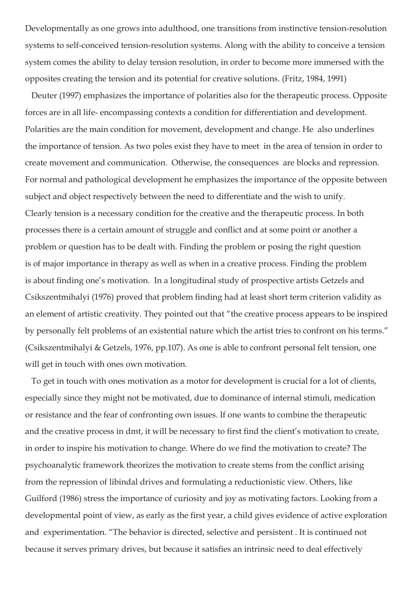Developmentally as one grows into adulthood, one transitions from instinctive tension-resolution systems to self-conceived tension-resolution systems. Along with the ability to conceive a tension system comes the ability to delay tension resolution, in order to become more immersed with the opposites creating the tension and its potential for creative solutions. (Fritz, 1984, 1991)

 Deuter (1997) emphasizes the importance of polarities also for the therapeutic process. Opposite forces are in all life- encompassing contexts a condition for differentiation and development. Polarities are the main condition for movement, development and change. He also underlines the importance of tension. As two poles exist they have to meet in the area of tension in order to create movement and communication. Otherwise, the consequences are blocks and repression. For normal and pathological development he emphasizes the importance of the opposite between subject and object respectively between the need to differentiate and the wish to unify. Clearly tension is a necessary condition for the creative and the therapeutic process. In both processes there is a certain amount of struggle and conflict and at some point or another a problem or question has to be dealt with. Finding the problem or posing the right question is of major importance in therapy as well as when in a creative process. Finding the problem is about finding one's motivation. In a longitudinal study of prospective artists Getzels and Csikszentmihalyi (1976) proved that problem finding had at least short term criterion validity as an element of artistic creativity. They pointed out that "the creative process appears to be inspired by personally felt problems of an existential nature which the artist tries to confront on his terms." (Csikszentmihalyi & Getzels, 1976, pp.107). As one is able to confront personal felt tension, one will get in touch with ones own motivation.

 To get in touch with ones motivation as a motor for development is crucial for a lot of clients, especially since they might not be motivated, due to dominance of internal stimuli, medication or resistance and the fear of confronting own issues. If one wants to combine the therapeutic and the creative process in dmt, it will be necessary to first find the client's motivation to create, in order to inspire his motivation to change. Where do we find the motivation to create? The psychoanalytic framework theorizes the motivation to create stems from the conflict arising from the repression of libindal drives and formulating a reductionistic view. Others, like Guilford (1986) stress the importance of curiosity and joy as motivating factors. Looking from a developmental point of view, as early as the first year, a child gives evidence of active exploration and experimentation. "The behavior is directed, selective and persistent . It is continued not because it serves primary drives, but because it satisfies an intrinsic need to deal effectively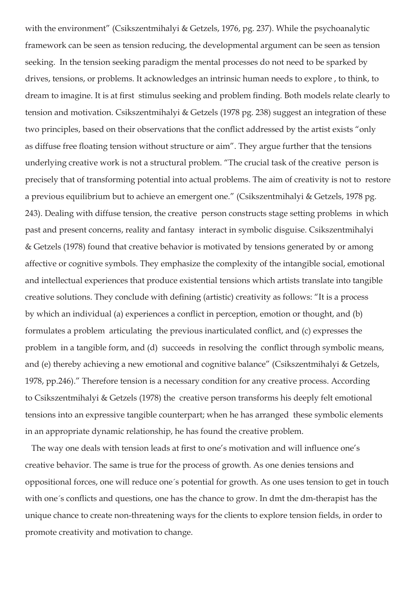with the environment" (Csikszentmihalyi & Getzels, 1976, pg. 237). While the psychoanalytic framework can be seen as tension reducing, the developmental argument can be seen as tension seeking. In the tension seeking paradigm the mental processes do not need to be sparked by drives, tensions, or problems. It acknowledges an intrinsic human needs to explore , to think, to dream to imagine. It is at first stimulus seeking and problem finding. Both models relate clearly to tension and motivation. Csikszentmihalyi & Getzels (1978 pg. 238) suggest an integration of these two principles, based on their observations that the conflict addressed by the artist exists "only as diffuse free floating tension without structure or aim". They argue further that the tensions underlying creative work is not a structural problem. "The crucial task of the creative person is precisely that of transforming potential into actual problems. The aim of creativity is not to restore a previous equilibrium but to achieve an emergent one." (Csikszentmihalyi & Getzels, 1978 pg. 243). Dealing with diffuse tension, the creative person constructs stage setting problems in which past and present concerns, reality and fantasy interact in symbolic disguise. Csikszentmihalyi & Getzels (1978) found that creative behavior is motivated by tensions generated by or among affective or cognitive symbols. They emphasize the complexity of the intangible social, emotional and intellectual experiences that produce existential tensions which artists translate into tangible creative solutions. They conclude with defining (artistic) creativity as follows: "It is a process by which an individual (a) experiences a conflict in perception, emotion or thought, and (b) formulates a problem articulating the previous inarticulated conflict, and (c) expresses the problem in a tangible form, and (d) succeeds in resolving the conflict through symbolic means, and (e) thereby achieving a new emotional and cognitive balance" (Csikszentmihalyi & Getzels, 1978, pp.246)." Therefore tension is a necessary condition for any creative process. According to Csikszentmihalyi & Getzels (1978) the creative person transforms his deeply felt emotional tensions into an expressive tangible counterpart; when he has arranged these symbolic elements in an appropriate dynamic relationship, he has found the creative problem.

 The way one deals with tension leads at first to one's motivation and will influence one's creative behavior. The same is true for the process of growth. As one denies tensions and oppositional forces, one will reduce one´s potential for growth. As one uses tension to get in touch with one´s conflicts and questions, one has the chance to grow. In dmt the dm-therapist has the unique chance to create non-threatening ways for the clients to explore tension fields, in order to promote creativity and motivation to change.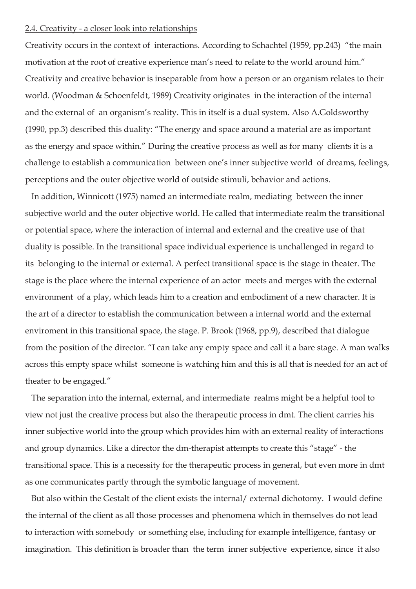### 2.4. Creativity - a closer look into relationships

Creativity occurs in the context of interactions. According to Schachtel (1959, pp.243) "the main motivation at the root of creative experience man's need to relate to the world around him." Creativity and creative behavior is inseparable from how a person or an organism relates to their world. (Woodman & Schoenfeldt, 1989) Creativity originates in the interaction of the internal and the external of an organism's reality. This in itself is a dual system. Also A.Goldsworthy (1990, pp.3) described this duality: "The energy and space around a material are as important as the energy and space within." During the creative process as well as for many clients it is a challenge to establish a communication between one's inner subjective world of dreams, feelings, perceptions and the outer objective world of outside stimuli, behavior and actions.

 In addition, Winnicott (1975) named an intermediate realm, mediating between the inner subjective world and the outer objective world. He called that intermediate realm the transitional or potential space, where the interaction of internal and external and the creative use of that duality is possible. In the transitional space individual experience is unchallenged in regard to its belonging to the internal or external. A perfect transitional space is the stage in theater. The stage is the place where the internal experience of an actor meets and merges with the external environment of a play, which leads him to a creation and embodiment of a new character. It is the art of a director to establish the communication between a internal world and the external enviroment in this transitional space, the stage. P. Brook (1968, pp.9), described that dialogue from the position of the director. "I can take any empty space and call it a bare stage. A man walks across this empty space whilst someone is watching him and this is all that is needed for an act of theater to be engaged."

 The separation into the internal, external, and intermediate realms might be a helpful tool to view not just the creative process but also the therapeutic process in dmt. The client carries his inner subjective world into the group which provides him with an external reality of interactions and group dynamics. Like a director the dm-therapist attempts to create this "stage" - the transitional space. This is a necessity for the therapeutic process in general, but even more in dmt as one communicates partly through the symbolic language of movement.

 But also within the Gestalt of the client exists the internal/ external dichotomy. I would define the internal of the client as all those processes and phenomena which in themselves do not lead to interaction with somebody or something else, including for example intelligence, fantasy or imagination. This definition is broader than the term inner subjective experience, since it also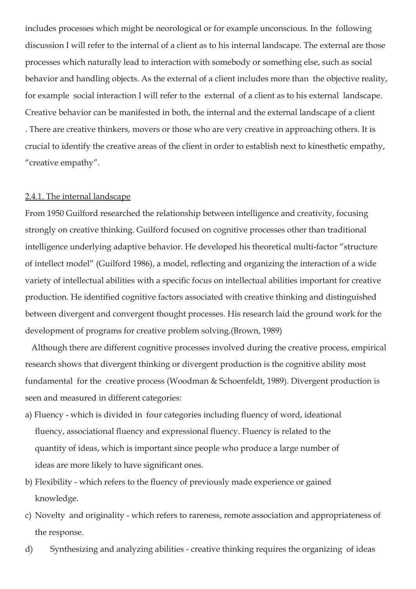includes processes which might be neorological or for example unconscious. In the following discussion I will refer to the internal of a client as to his internal landscape. The external are those processes which naturally lead to interaction with somebody or something else, such as social behavior and handling objects. As the external of a client includes more than the objective reality, for example social interaction I will refer to the external of a client as to his external landscape. Creative behavior can be manifested in both, the internal and the external landscape of a client . There are creative thinkers, movers or those who are very creative in approaching others. It is crucial to identify the creative areas of the client in order to establish next to kinesthetic empathy, "creative empathy".

#### 2.4.1. The internal landscape

From 1950 Guilford researched the relationship between intelligence and creativity, focusing strongly on creative thinking. Guilford focused on cognitive processes other than traditional intelligence underlying adaptive behavior. He developed his theoretical multi-factor "structure of intellect model" (Guilford 1986), a model, reflecting and organizing the interaction of a wide variety of intellectual abilities with a specific focus on intellectual abilities important for creative production. He identified cognitive factors associated with creative thinking and distinguished between divergent and convergent thought processes. His research laid the ground work for the development of programs for creative problem solving.(Brown, 1989)

 Although there are different cognitive processes involved during the creative process, empirical research shows that divergent thinking or divergent production is the cognitive ability most fundamental for the creative process (Woodman & Schoenfeldt, 1989). Divergent production is seen and measured in different categories:

- a) Fluency which is divided in four categories including fluency of word, ideational fluency, associational fluency and expressional fluency. Fluency is related to the quantity of ideas, which is important since people who produce a large number of ideas are more likely to have significant ones.
- b) Flexibility which refers to the fluency of previously made experience or gained knowledge.
- c) Novelty and originality which refers to rareness, remote association and appropriateness of the response.
- d) Synthesizing and analyzing abilities creative thinking requires the organizing of ideas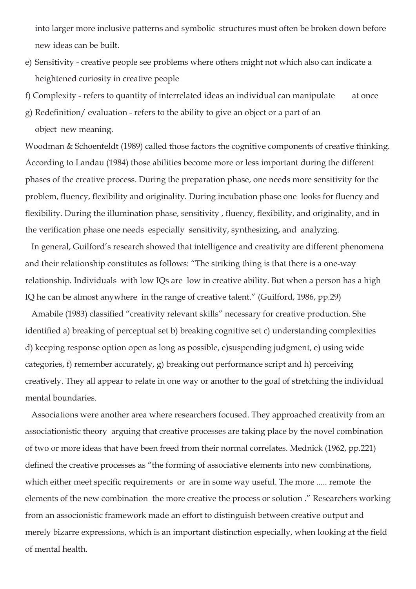into larger more inclusive patterns and symbolic structures must often be broken down before new ideas can be built.

- e) Sensitivity creative people see problems where others might not which also can indicate a heightened curiosity in creative people
- f) Complexity refers to quantity of interrelated ideas an individual can manipulate at once
- g) Redefinition/ evaluation refers to the ability to give an object or a part of an object new meaning.

Woodman & Schoenfeldt (1989) called those factors the cognitive components of creative thinking. According to Landau (1984) those abilities become more or less important during the different phases of the creative process. During the preparation phase, one needs more sensitivity for the problem, fluency, flexibility and originality. During incubation phase one looks for fluency and flexibility. During the illumination phase, sensitivity , fluency, flexibility, and originality, and in the verification phase one needs especially sensitivity, synthesizing, and analyzing.

 In general, Guilford's research showed that intelligence and creativity are different phenomena and their relationship constitutes as follows: "The striking thing is that there is a one-way relationship. Individuals with low IQs are low in creative ability. But when a person has a high IQ he can be almost anywhere in the range of creative talent." (Guilford, 1986, pp.29)

 Amabile (1983) classified "creativity relevant skills" necessary for creative production. She identified a) breaking of perceptual set b) breaking cognitive set c) understanding complexities d) keeping response option open as long as possible, e)suspending judgment, e) using wide categories, f) remember accurately, g) breaking out performance script and h) perceiving creatively. They all appear to relate in one way or another to the goal of stretching the individual mental boundaries.

 Associations were another area where researchers focused. They approached creativity from an associationistic theory arguing that creative processes are taking place by the novel combination of two or more ideas that have been freed from their normal correlates. Mednick (1962, pp.221) defined the creative processes as "the forming of associative elements into new combinations, which either meet specific requirements or are in some way useful. The more ..... remote the elements of the new combination the more creative the process or solution ." Researchers working from an associonistic framework made an effort to distinguish between creative output and merely bizarre expressions, which is an important distinction especially, when looking at the field of mental health.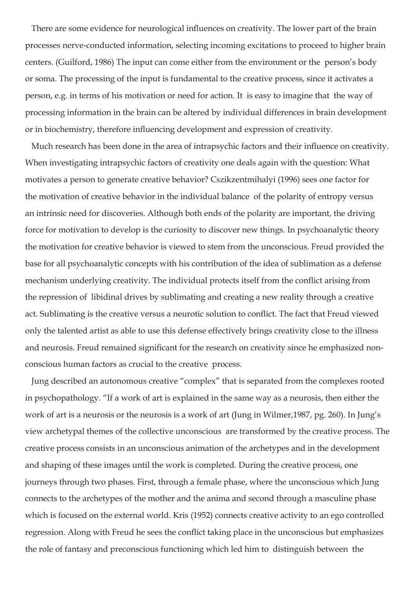There are some evidence for neurological influences on creativity. The lower part of the brain processes nerve-conducted information, selecting incoming excitations to proceed to higher brain centers. (Guilford, 1986) The input can come either from the environment or the person's body or soma. The processing of the input is fundamental to the creative process, since it activates a person, e.g. in terms of his motivation or need for action. It is easy to imagine that the way of processing information in the brain can be altered by individual differences in brain development or in biochemistry, therefore influencing development and expression of creativity.

 Much research has been done in the area of intrapsychic factors and their influence on creativity. When investigating intrapsychic factors of creativity one deals again with the question: What motivates a person to generate creative behavior? Cszikzentmihalyi (1996) sees one factor for the motivation of creative behavior in the individual balance of the polarity of entropy versus an intrinsic need for discoveries. Although both ends of the polarity are important, the driving force for motivation to develop is the curiosity to discover new things. In psychoanalytic theory the motivation for creative behavior is viewed to stem from the unconscious. Freud provided the base for all psychoanalytic concepts with his contribution of the idea of sublimation as a defense mechanism underlying creativity. The individual protects itself from the conflict arising from the repression of libidinal drives by sublimating and creating a new reality through a creative act. Sublimating is the creative versus a neurotic solution to conflict. The fact that Freud viewed only the talented artist as able to use this defense effectively brings creativity close to the illness and neurosis. Freud remained significant for the research on creativity since he emphasized nonconscious human factors as crucial to the creative process.

 Jung described an autonomous creative "complex" that is separated from the complexes rooted in psychopathology. "If a work of art is explained in the same way as a neurosis, then either the work of art is a neurosis or the neurosis is a work of art (Jung in Wilmer,1987, pg. 260). In Jung's view archetypal themes of the collective unconscious are transformed by the creative process. The creative process consists in an unconscious animation of the archetypes and in the development and shaping of these images until the work is completed. During the creative process, one journeys through two phases. First, through a female phase, where the unconscious which Jung connects to the archetypes of the mother and the anima and second through a masculine phase which is focused on the external world. Kris (1952) connects creative activity to an ego controlled regression. Along with Freud he sees the conflict taking place in the unconscious but emphasizes the role of fantasy and preconscious functioning which led him to distinguish between the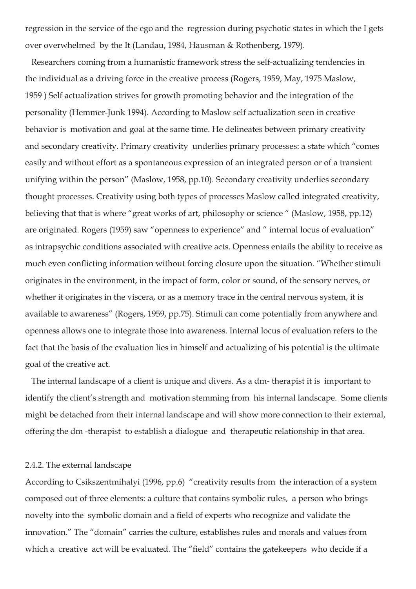regression in the service of the ego and the regression during psychotic states in which the I gets over overwhelmed by the It (Landau, 1984, Hausman & Rothenberg, 1979).

 Researchers coming from a humanistic framework stress the self-actualizing tendencies in the individual as a driving force in the creative process (Rogers, 1959, May, 1975 Maslow, 1959 ) Self actualization strives for growth promoting behavior and the integration of the personality (Hemmer-Junk 1994). According to Maslow self actualization seen in creative behavior is motivation and goal at the same time. He delineates between primary creativity and secondary creativity. Primary creativity underlies primary processes: a state which "comes easily and without effort as a spontaneous expression of an integrated person or of a transient unifying within the person" (Maslow, 1958, pp.10). Secondary creativity underlies secondary thought processes. Creativity using both types of processes Maslow called integrated creativity, believing that that is where "great works of art, philosophy or science " (Maslow, 1958, pp.12) are originated. Rogers (1959) saw "openness to experience" and " internal locus of evaluation" as intrapsychic conditions associated with creative acts. Openness entails the ability to receive as much even conflicting information without forcing closure upon the situation. "Whether stimuli originates in the environment, in the impact of form, color or sound, of the sensory nerves, or whether it originates in the viscera, or as a memory trace in the central nervous system, it is available to awareness" (Rogers, 1959, pp.75). Stimuli can come potentially from anywhere and openness allows one to integrate those into awareness. Internal locus of evaluation refers to the fact that the basis of the evaluation lies in himself and actualizing of his potential is the ultimate goal of the creative act.

 The internal landscape of a client is unique and divers. As a dm- therapist it is important to identify the client's strength and motivation stemming from his internal landscape. Some clients might be detached from their internal landscape and will show more connection to their external, offering the dm -therapist to establish a dialogue and therapeutic relationship in that area.

#### 2.4.2. The external landscape

According to Csikszentmihalyi (1996, pp.6) "creativity results from the interaction of a system composed out of three elements: a culture that contains symbolic rules, a person who brings novelty into the symbolic domain and a field of experts who recognize and validate the innovation." The "domain" carries the culture, establishes rules and morals and values from which a creative act will be evaluated. The "field" contains the gatekeepers who decide if a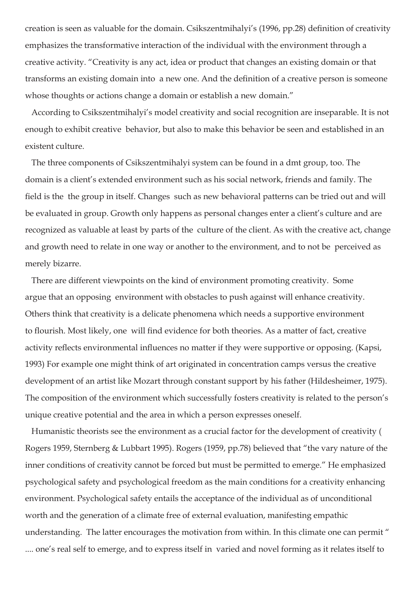creation is seen as valuable for the domain. Csikszentmihalyi's (1996, pp.28) definition of creativity emphasizes the transformative interaction of the individual with the environment through a creative activity. "Creativity is any act, idea or product that changes an existing domain or that transforms an existing domain into a new one. And the definition of a creative person is someone whose thoughts or actions change a domain or establish a new domain."

 According to Csikszentmihalyi's model creativity and social recognition are inseparable. It is not enough to exhibit creative behavior, but also to make this behavior be seen and established in an existent culture.

 The three components of Csikszentmihalyi system can be found in a dmt group, too. The domain is a client's extended environment such as his social network, friends and family. The field is the the group in itself. Changes such as new behavioral patterns can be tried out and will be evaluated in group. Growth only happens as personal changes enter a client's culture and are recognized as valuable at least by parts of the culture of the client. As with the creative act, change and growth need to relate in one way or another to the environment, and to not be perceived as merely bizarre.

 There are different viewpoints on the kind of environment promoting creativity. Some argue that an opposing environment with obstacles to push against will enhance creativity. Others think that creativity is a delicate phenomena which needs a supportive environment to flourish. Most likely, one will find evidence for both theories. As a matter of fact, creative activity reflects environmental influences no matter if they were supportive or opposing. (Kapsi, 1993) For example one might think of art originated in concentration camps versus the creative development of an artist like Mozart through constant support by his father (Hildesheimer, 1975). The composition of the environment which successfully fosters creativity is related to the person's unique creative potential and the area in which a person expresses oneself.

 Humanistic theorists see the environment as a crucial factor for the development of creativity ( Rogers 1959, Sternberg & Lubbart 1995). Rogers (1959, pp.78) believed that "the vary nature of the inner conditions of creativity cannot be forced but must be permitted to emerge." He emphasized psychological safety and psychological freedom as the main conditions for a creativity enhancing environment. Psychological safety entails the acceptance of the individual as of unconditional worth and the generation of a climate free of external evaluation, manifesting empathic understanding. The latter encourages the motivation from within. In this climate one can permit " .... one's real self to emerge, and to express itself in varied and novel forming as it relates itself to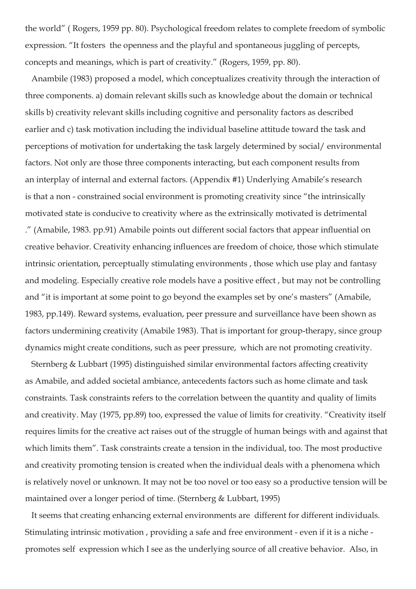the world" ( Rogers, 1959 pp. 80). Psychological freedom relates to complete freedom of symbolic expression. "It fosters the openness and the playful and spontaneous juggling of percepts, concepts and meanings, which is part of creativity." (Rogers, 1959, pp. 80).

 Anambile (1983) proposed a model, which conceptualizes creativity through the interaction of three components. a) domain relevant skills such as knowledge about the domain or technical skills b) creativity relevant skills including cognitive and personality factors as described earlier and c) task motivation including the individual baseline attitude toward the task and perceptions of motivation for undertaking the task largely determined by social/ environmental factors. Not only are those three components interacting, but each component results from an interplay of internal and external factors. (Appendix #1) Underlying Amabile's research is that a non - constrained social environment is promoting creativity since "the intrinsically motivated state is conducive to creativity where as the extrinsically motivated is detrimental ." (Amabile, 1983. pp.91) Amabile points out different social factors that appear influential on creative behavior. Creativity enhancing influences are freedom of choice, those which stimulate intrinsic orientation, perceptually stimulating environments , those which use play and fantasy and modeling. Especially creative role models have a positive effect , but may not be controlling and "it is important at some point to go beyond the examples set by one's masters" (Amabile, 1983, pp.149). Reward systems, evaluation, peer pressure and surveillance have been shown as factors undermining creativity (Amabile 1983). That is important for group-therapy, since group dynamics might create conditions, such as peer pressure, which are not promoting creativity.

 Sternberg & Lubbart (1995) distinguished similar environmental factors affecting creativity as Amabile, and added societal ambiance, antecedents factors such as home climate and task constraints. Task constraints refers to the correlation between the quantity and quality of limits and creativity. May (1975, pp.89) too, expressed the value of limits for creativity. "Creativity itself requires limits for the creative act raises out of the struggle of human beings with and against that which limits them". Task constraints create a tension in the individual, too. The most productive and creativity promoting tension is created when the individual deals with a phenomena which is relatively novel or unknown. It may not be too novel or too easy so a productive tension will be maintained over a longer period of time. (Sternberg & Lubbart, 1995)

 It seems that creating enhancing external environments are different for different individuals. Stimulating intrinsic motivation , providing a safe and free environment - even if it is a niche promotes self expression which I see as the underlying source of all creative behavior. Also, in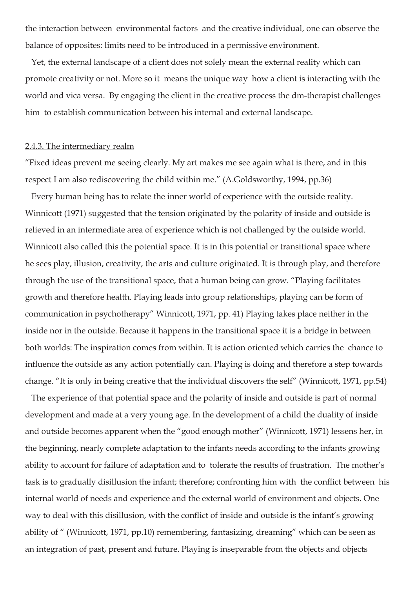the interaction between environmental factors and the creative individual, one can observe the balance of opposites: limits need to be introduced in a permissive environment.

 Yet, the external landscape of a client does not solely mean the external reality which can promote creativity or not. More so it means the unique way how a client is interacting with the world and vica versa. By engaging the client in the creative process the dm-therapist challenges him to establish communication between his internal and external landscape.

#### 2.4.3. The intermediary realm

"Fixed ideas prevent me seeing clearly. My art makes me see again what is there, and in this respect I am also rediscovering the child within me." (A.Goldsworthy, 1994, pp.36)

 Every human being has to relate the inner world of experience with the outside reality. Winnicott (1971) suggested that the tension originated by the polarity of inside and outside is relieved in an intermediate area of experience which is not challenged by the outside world. Winnicott also called this the potential space. It is in this potential or transitional space where he sees play, illusion, creativity, the arts and culture originated. It is through play, and therefore through the use of the transitional space, that a human being can grow. "Playing facilitates growth and therefore health. Playing leads into group relationships, playing can be form of communication in psychotherapy" Winnicott, 1971, pp. 41) Playing takes place neither in the inside nor in the outside. Because it happens in the transitional space it is a bridge in between both worlds: The inspiration comes from within. It is action oriented which carries the chance to influence the outside as any action potentially can. Playing is doing and therefore a step towards change. "It is only in being creative that the individual discovers the self" (Winnicott, 1971, pp.54)

 The experience of that potential space and the polarity of inside and outside is part of normal development and made at a very young age. In the development of a child the duality of inside and outside becomes apparent when the "good enough mother" (Winnicott, 1971) lessens her, in the beginning, nearly complete adaptation to the infants needs according to the infants growing ability to account for failure of adaptation and to tolerate the results of frustration. The mother's task is to gradually disillusion the infant; therefore; confronting him with the conflict between his internal world of needs and experience and the external world of environment and objects. One way to deal with this disillusion, with the conflict of inside and outside is the infant's growing ability of " (Winnicott, 1971, pp.10) remembering, fantasizing, dreaming" which can be seen as an integration of past, present and future. Playing is inseparable from the objects and objects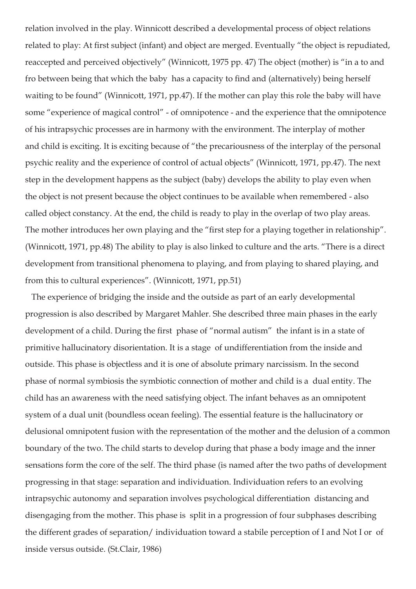relation involved in the play. Winnicott described a developmental process of object relations related to play: At first subject (infant) and object are merged. Eventually "the object is repudiated, reaccepted and perceived objectively" (Winnicott, 1975 pp. 47) The object (mother) is "in a to and fro between being that which the baby has a capacity to find and (alternatively) being herself waiting to be found" (Winnicott, 1971, pp.47). If the mother can play this role the baby will have some "experience of magical control" - of omnipotence - and the experience that the omnipotence of his intrapsychic processes are in harmony with the environment. The interplay of mother and child is exciting. It is exciting because of "the precariousness of the interplay of the personal psychic reality and the experience of control of actual objects" (Winnicott, 1971, pp.47). The next step in the development happens as the subject (baby) develops the ability to play even when the object is not present because the object continues to be available when remembered - also called object constancy. At the end, the child is ready to play in the overlap of two play areas. The mother introduces her own playing and the "first step for a playing together in relationship". (Winnicott, 1971, pp.48) The ability to play is also linked to culture and the arts. "There is a direct development from transitional phenomena to playing, and from playing to shared playing, and from this to cultural experiences". (Winnicott, 1971, pp.51)

 The experience of bridging the inside and the outside as part of an early developmental progression is also described by Margaret Mahler. She described three main phases in the early development of a child. During the first phase of "normal autism" the infant is in a state of primitive hallucinatory disorientation. It is a stage of undifferentiation from the inside and outside. This phase is objectless and it is one of absolute primary narcissism. In the second phase of normal symbiosis the symbiotic connection of mother and child is a dual entity. The child has an awareness with the need satisfying object. The infant behaves as an omnipotent system of a dual unit (boundless ocean feeling). The essential feature is the hallucinatory or delusional omnipotent fusion with the representation of the mother and the delusion of a common boundary of the two. The child starts to develop during that phase a body image and the inner sensations form the core of the self. The third phase (is named after the two paths of development progressing in that stage: separation and individuation. Individuation refers to an evolving intrapsychic autonomy and separation involves psychological differentiation distancing and disengaging from the mother. This phase is split in a progression of four subphases describing the different grades of separation/ individuation toward a stabile perception of I and Not I or of inside versus outside. (St.Clair, 1986)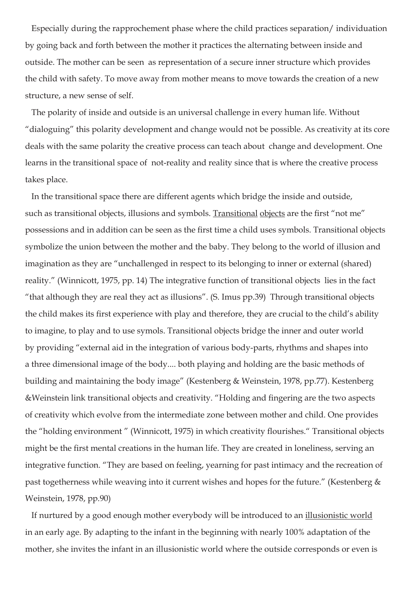Especially during the rapprochement phase where the child practices separation/ individuation by going back and forth between the mother it practices the alternating between inside and outside. The mother can be seen as representation of a secure inner structure which provides the child with safety. To move away from mother means to move towards the creation of a new structure, a new sense of self.

 The polarity of inside and outside is an universal challenge in every human life. Without "dialoguing" this polarity development and change would not be possible. As creativity at its core deals with the same polarity the creative process can teach about change and development. One learns in the transitional space of not-reality and reality since that is where the creative process takes place.

 In the transitional space there are different agents which bridge the inside and outside, such as transitional objects, illusions and symbols. Transitional objects are the first "not me" possessions and in addition can be seen as the first time a child uses symbols. Transitional objects symbolize the union between the mother and the baby. They belong to the world of illusion and imagination as they are "unchallenged in respect to its belonging to inner or external (shared) reality." (Winnicott, 1975, pp. 14) The integrative function of transitional objects lies in the fact "that although they are real they act as illusions". (S. Imus pp.39) Through transitional objects the child makes its first experience with play and therefore, they are crucial to the child's ability to imagine, to play and to use symols. Transitional objects bridge the inner and outer world by providing "external aid in the integration of various body-parts, rhythms and shapes into a three dimensional image of the body.... both playing and holding are the basic methods of building and maintaining the body image" (Kestenberg & Weinstein, 1978, pp.77). Kestenberg &Weinstein link transitional objects and creativity. "Holding and fingering are the two aspects of creativity which evolve from the intermediate zone between mother and child. One provides the "holding environment " (Winnicott, 1975) in which creativity flourishes." Transitional objects might be the first mental creations in the human life. They are created in loneliness, serving an integrative function. "They are based on feeling, yearning for past intimacy and the recreation of past togetherness while weaving into it current wishes and hopes for the future." (Kestenberg & Weinstein, 1978, pp.90)

 If nurtured by a good enough mother everybody will be introduced to an illusionistic world in an early age. By adapting to the infant in the beginning with nearly 100% adaptation of the mother, she invites the infant in an illusionistic world where the outside corresponds or even is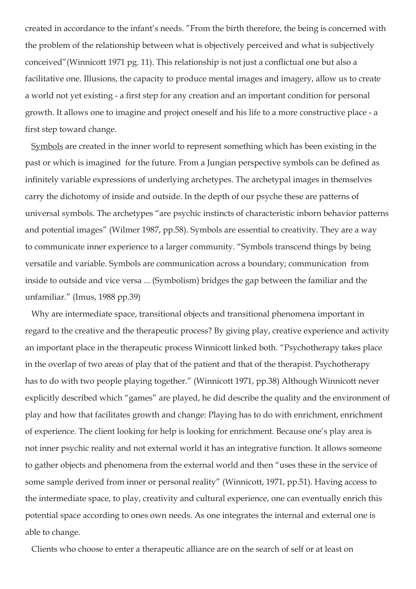created in accordance to the infant's needs. "From the birth therefore, the being is concerned with the problem of the relationship between what is objectively perceived and what is subjectively conceived"(Winnicott 1971 pg. 11). This relationship is not just a conflictual one but also a facilitative one. Illusions, the capacity to produce mental images and imagery, allow us to create a world not yet existing - a first step for any creation and an important condition for personal growth. It allows one to imagine and project oneself and his life to a more constructive place - a first step toward change.

 Symbols are created in the inner world to represent something which has been existing in the past or which is imagined for the future. From a Jungian perspective symbols can be defined as infinitely variable expressions of underlying archetypes. The archetypal images in themselves carry the dichotomy of inside and outside. In the depth of our psyche these are patterns of universal symbols. The archetypes "are psychic instincts of characteristic inborn behavior patterns and potential images" (Wilmer 1987, pp.58). Symbols are essential to creativity. They are a way to communicate inner experience to a larger community. "Symbols transcend things by being versatile and variable. Symbols are communication across a boundary; communication from inside to outside and vice versa ... (Symbolism) bridges the gap between the familiar and the unfamiliar." (Imus, 1988 pp.39)

 Why are intermediate space, transitional objects and transitional phenomena important in regard to the creative and the therapeutic process? By giving play, creative experience and activity an important place in the therapeutic process Winnicott linked both. "Psychotherapy takes place in the overlap of two areas of play that of the patient and that of the therapist. Psychotherapy has to do with two people playing together." (Winnicott 1971, pp.38) Although Winnicott never explicitly described which "games" are played, he did describe the quality and the environment of play and how that facilitates growth and change: Playing has to do with enrichment, enrichment of experience. The client looking for help is looking for enrichment. Because one's play area is not inner psychic reality and not external world it has an integrative function. It allows someone to gather objects and phenomena from the external world and then "uses these in the service of some sample derived from inner or personal reality" (Winnicott, 1971, pp.51). Having access to the intermediate space, to play, creativity and cultural experience, one can eventually enrich this potential space according to ones own needs. As one integrates the internal and external one is able to change.

Clients who choose to enter a therapeutic alliance are on the search of self or at least on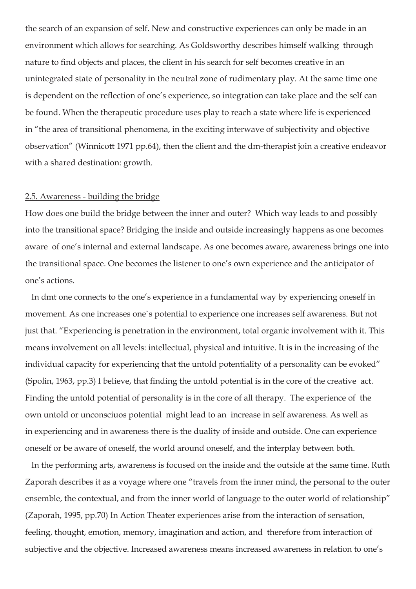the search of an expansion of self. New and constructive experiences can only be made in an environment which allows for searching. As Goldsworthy describes himself walking through nature to find objects and places, the client in his search for self becomes creative in an unintegrated state of personality in the neutral zone of rudimentary play. At the same time one is dependent on the reflection of one's experience, so integration can take place and the self can be found. When the therapeutic procedure uses play to reach a state where life is experienced in "the area of transitional phenomena, in the exciting interwave of subjectivity and objective observation" (Winnicott 1971 pp.64), then the client and the dm-therapist join a creative endeavor with a shared destination: growth.

# 2.5. Awareness - building the bridge

How does one build the bridge between the inner and outer? Which way leads to and possibly into the transitional space? Bridging the inside and outside increasingly happens as one becomes aware of one's internal and external landscape. As one becomes aware, awareness brings one into the transitional space. One becomes the listener to one's own experience and the anticipator of one's actions.

 In dmt one connects to the one's experience in a fundamental way by experiencing oneself in movement. As one increases one`s potential to experience one increases self awareness. But not just that. "Experiencing is penetration in the environment, total organic involvement with it. This means involvement on all levels: intellectual, physical and intuitive. It is in the increasing of the individual capacity for experiencing that the untold potentiality of a personality can be evoked" (Spolin, 1963, pp.3) I believe, that finding the untold potential is in the core of the creative act. Finding the untold potential of personality is in the core of all therapy. The experience of the own untold or unconsciuos potential might lead to an increase in self awareness. As well as in experiencing and in awareness there is the duality of inside and outside. One can experience oneself or be aware of oneself, the world around oneself, and the interplay between both.

 In the performing arts, awareness is focused on the inside and the outside at the same time. Ruth Zaporah describes it as a voyage where one "travels from the inner mind, the personal to the outer ensemble, the contextual, and from the inner world of language to the outer world of relationship" (Zaporah, 1995, pp.70) In Action Theater experiences arise from the interaction of sensation, feeling, thought, emotion, memory, imagination and action, and therefore from interaction of subjective and the objective. Increased awareness means increased awareness in relation to one's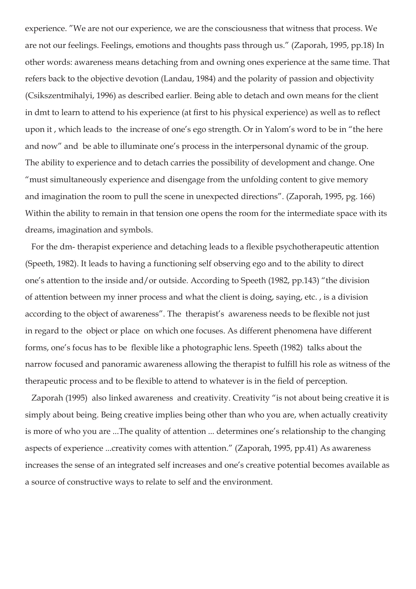experience. "We are not our experience, we are the consciousness that witness that process. We are not our feelings. Feelings, emotions and thoughts pass through us." (Zaporah, 1995, pp.18) In other words: awareness means detaching from and owning ones experience at the same time. That refers back to the objective devotion (Landau, 1984) and the polarity of passion and objectivity (Csikszentmihalyi, 1996) as described earlier. Being able to detach and own means for the client in dmt to learn to attend to his experience (at first to his physical experience) as well as to reflect upon it , which leads to the increase of one's ego strength. Or in Yalom's word to be in "the here and now" and be able to illuminate one's process in the interpersonal dynamic of the group. The ability to experience and to detach carries the possibility of development and change. One "must simultaneously experience and disengage from the unfolding content to give memory and imagination the room to pull the scene in unexpected directions". (Zaporah, 1995, pg. 166) Within the ability to remain in that tension one opens the room for the intermediate space with its dreams, imagination and symbols.

 For the dm- therapist experience and detaching leads to a flexible psychotherapeutic attention (Speeth, 1982). It leads to having a functioning self observing ego and to the ability to direct one's attention to the inside and/or outside. According to Speeth (1982, pp.143) "the division of attention between my inner process and what the client is doing, saying, etc. , is a division according to the object of awareness". The therapist's awareness needs to be flexible not just in regard to the object or place on which one focuses. As different phenomena have different forms, one's focus has to be flexible like a photographic lens. Speeth (1982) talks about the narrow focused and panoramic awareness allowing the therapist to fulfill his role as witness of the therapeutic process and to be flexible to attend to whatever is in the field of perception.

 Zaporah (1995) also linked awareness and creativity. Creativity "is not about being creative it is simply about being. Being creative implies being other than who you are, when actually creativity is more of who you are ...The quality of attention ... determines one's relationship to the changing aspects of experience ...creativity comes with attention." (Zaporah, 1995, pp.41) As awareness increases the sense of an integrated self increases and one's creative potential becomes available as a source of constructive ways to relate to self and the environment.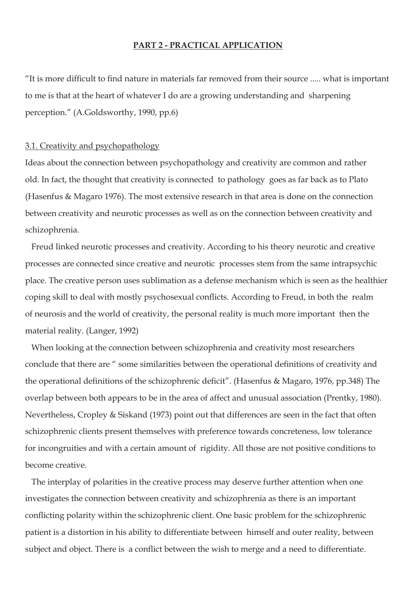#### **PART 2 - PRACTICAL APPLICATION**

"It is more difficult to find nature in materials far removed from their source ..... what is important to me is that at the heart of whatever I do are a growing understanding and sharpening perception." (A.Goldsworthy, 1990, pp.6)

#### 3.1. Creativity and psychopathology

Ideas about the connection between psychopathology and creativity are common and rather old. In fact, the thought that creativity is connected to pathology goes as far back as to Plato (Hasenfus & Magaro 1976). The most extensive research in that area is done on the connection between creativity and neurotic processes as well as on the connection between creativity and schizophrenia.

 Freud linked neurotic processes and creativity. According to his theory neurotic and creative processes are connected since creative and neurotic processes stem from the same intrapsychic place. The creative person uses sublimation as a defense mechanism which is seen as the healthier coping skill to deal with mostly psychosexual conflicts. According to Freud, in both the realm of neurosis and the world of creativity, the personal reality is much more important then the material reality. (Langer, 1992)

 When looking at the connection between schizophrenia and creativity most researchers conclude that there are " some similarities between the operational definitions of creativity and the operational definitions of the schizophrenic deficit". (Hasenfus & Magaro, 1976, pp.348) The overlap between both appears to be in the area of affect and unusual association (Prentky, 1980). Nevertheless, Cropley & Siskand (1973) point out that differences are seen in the fact that often schizophrenic clients present themselves with preference towards concreteness, low tolerance for incongruities and with a certain amount of rigidity. All those are not positive conditions to become creative.

 The interplay of polarities in the creative process may deserve further attention when one investigates the connection between creativity and schizophrenia as there is an important conflicting polarity within the schizophrenic client. One basic problem for the schizophrenic patient is a distortion in his ability to differentiate between himself and outer reality, between subject and object. There is a conflict between the wish to merge and a need to differentiate.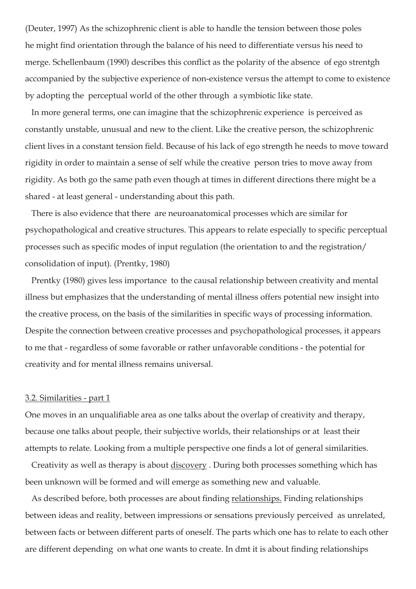(Deuter, 1997) As the schizophrenic client is able to handle the tension between those poles he might find orientation through the balance of his need to differentiate versus his need to merge. Schellenbaum (1990) describes this conflict as the polarity of the absence of ego strentgh accompanied by the subjective experience of non-existence versus the attempt to come to existence by adopting the perceptual world of the other through a symbiotic like state.

 In more general terms, one can imagine that the schizophrenic experience is perceived as constantly unstable, unusual and new to the client. Like the creative person, the schizophrenic client lives in a constant tension field. Because of his lack of ego strength he needs to move toward rigidity in order to maintain a sense of self while the creative person tries to move away from rigidity. As both go the same path even though at times in different directions there might be a shared - at least general - understanding about this path.

 There is also evidence that there are neuroanatomical processes which are similar for psychopathological and creative structures. This appears to relate especially to specific perceptual processes such as specific modes of input regulation (the orientation to and the registration/ consolidation of input). (Prentky, 1980)

 Prentky (1980) gives less importance to the causal relationship between creativity and mental illness but emphasizes that the understanding of mental illness offers potential new insight into the creative process, on the basis of the similarities in specific ways of processing information. Despite the connection between creative processes and psychopathological processes, it appears to me that - regardless of some favorable or rather unfavorable conditions - the potential for creativity and for mental illness remains universal.

#### 3.2. Similarities - part 1

One moves in an unqualifiable area as one talks about the overlap of creativity and therapy, because one talks about people, their subjective worlds, their relationships or at least their attempts to relate. Looking from a multiple perspective one finds a lot of general similarities.

 Creativity as well as therapy is about discovery . During both processes something which has been unknown will be formed and will emerge as something new and valuable.

 As described before, both processes are about finding relationships. Finding relationships between ideas and reality, between impressions or sensations previously perceived as unrelated, between facts or between different parts of oneself. The parts which one has to relate to each other are different depending on what one wants to create. In dmt it is about finding relationships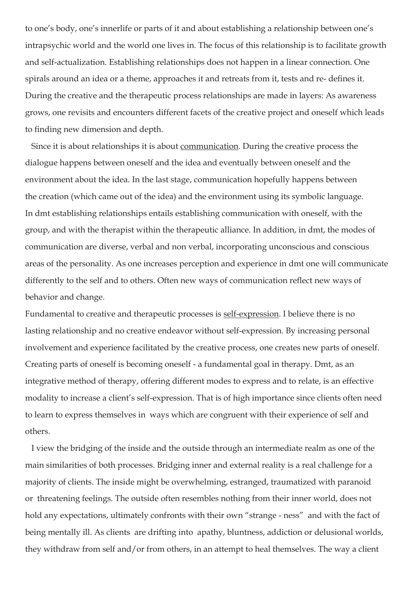to one's body, one's innerlife or parts of it and about establishing a relationship between one's intrapsychic world and the world one lives in. The focus of this relationship is to facilitate growth and self-actualization. Establishing relationships does not happen in a linear connection. One spirals around an idea or a theme, approaches it and retreats from it, tests and re- defines it. During the creative and the therapeutic process relationships are made in layers: As awareness grows, one revisits and encounters different facets of the creative project and oneself which leads to finding new dimension and depth.

 Since it is about relationships it is about communication. During the creative process the dialogue happens between oneself and the idea and eventually between oneself and the environment about the idea. In the last stage, communication hopefully happens between the creation (which came out of the idea) and the environment using its symbolic language. In dmt establishing relationships entails establishing communication with oneself, with the group, and with the therapist within the therapeutic alliance. In addition, in dmt, the modes of communication are diverse, verbal and non verbal, incorporating unconscious and conscious areas of the personality. As one increases perception and experience in dmt one will communicate differently to the self and to others. Often new ways of communication reflect new ways of behavior and change.

Fundamental to creative and therapeutic processes is self-expression. I believe there is no lasting relationship and no creative endeavor without self-expression. By increasing personal involvement and experience facilitated by the creative process, one creates new parts of oneself. Creating parts of oneself is becoming oneself - a fundamental goal in therapy. Dmt, as an integrative method of therapy, offering different modes to express and to relate, is an effective modality to increase a client's self-expression. That is of high importance since clients often need to learn to express themselves in ways which are congruent with their experience of self and others.

 I view the bridging of the inside and the outside through an intermediate realm as one of the main similarities of both processes. Bridging inner and external reality is a real challenge for a majority of clients. The inside might be overwhelming, estranged, traumatized with paranoid or threatening feelings. The outside often resembles nothing from their inner world, does not hold any expectations, ultimately confronts with their own "strange - ness" and with the fact of being mentally ill. As clients are drifting into apathy, bluntness, addiction or delusional worlds, they withdraw from self and/or from others, in an attempt to heal themselves. The way a client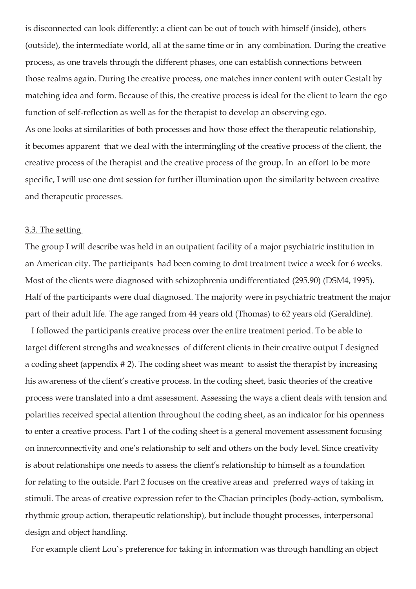is disconnected can look differently: a client can be out of touch with himself (inside), others (outside), the intermediate world, all at the same time or in any combination. During the creative process, as one travels through the different phases, one can establish connections between those realms again. During the creative process, one matches inner content with outer Gestalt by matching idea and form. Because of this, the creative process is ideal for the client to learn the ego function of self-reflection as well as for the therapist to develop an observing ego. As one looks at similarities of both processes and how those effect the therapeutic relationship, it becomes apparent that we deal with the intermingling of the creative process of the client, the creative process of the therapist and the creative process of the group. In an effort to be more specific, I will use one dmt session for further illumination upon the similarity between creative and therapeutic processes.

# 3.3. The setting

The group I will describe was held in an outpatient facility of a major psychiatric institution in an American city. The participants had been coming to dmt treatment twice a week for 6 weeks. Most of the clients were diagnosed with schizophrenia undifferentiated (295.90) (DSM4, 1995). Half of the participants were dual diagnosed. The majority were in psychiatric treatment the major part of their adult life. The age ranged from 44 years old (Thomas) to 62 years old (Geraldine).

 I followed the participants creative process over the entire treatment period. To be able to target different strengths and weaknesses of different clients in their creative output I designed a coding sheet (appendix # 2). The coding sheet was meant to assist the therapist by increasing his awareness of the client's creative process. In the coding sheet, basic theories of the creative process were translated into a dmt assessment. Assessing the ways a client deals with tension and polarities received special attention throughout the coding sheet, as an indicator for his openness to enter a creative process. Part 1 of the coding sheet is a general movement assessment focusing on innerconnectivity and one's relationship to self and others on the body level. Since creativity is about relationships one needs to assess the client's relationship to himself as a foundation for relating to the outside. Part 2 focuses on the creative areas and preferred ways of taking in stimuli. The areas of creative expression refer to the Chacian principles (body-action, symbolism, rhythmic group action, therapeutic relationship), but include thought processes, interpersonal design and object handling.

For example client Lou`s preference for taking in information was through handling an object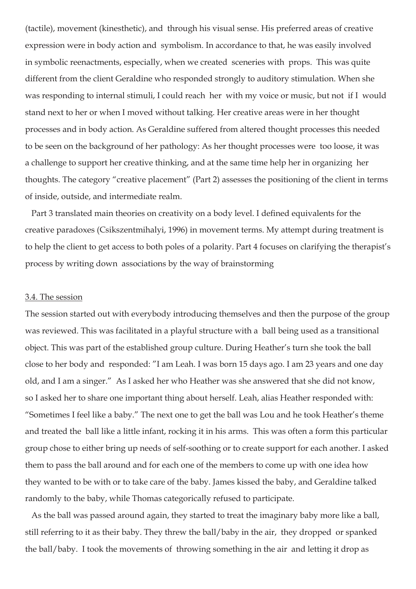(tactile), movement (kinesthetic), and through his visual sense. His preferred areas of creative expression were in body action and symbolism. In accordance to that, he was easily involved in symbolic reenactments, especially, when we created sceneries with props. This was quite different from the client Geraldine who responded strongly to auditory stimulation. When she was responding to internal stimuli, I could reach her with my voice or music, but not if I would stand next to her or when I moved without talking. Her creative areas were in her thought processes and in body action. As Geraldine suffered from altered thought processes this needed to be seen on the background of her pathology: As her thought processes were too loose, it was a challenge to support her creative thinking, and at the same time help her in organizing her thoughts. The category "creative placement" (Part 2) assesses the positioning of the client in terms of inside, outside, and intermediate realm.

 Part 3 translated main theories on creativity on a body level. I defined equivalents for the creative paradoxes (Csikszentmihalyi, 1996) in movement terms. My attempt during treatment is to help the client to get access to both poles of a polarity. Part 4 focuses on clarifying the therapist's process by writing down associations by the way of brainstorming

# 3.4. The session

The session started out with everybody introducing themselves and then the purpose of the group was reviewed. This was facilitated in a playful structure with a ball being used as a transitional object. This was part of the established group culture. During Heather's turn she took the ball close to her body and responded: "I am Leah. I was born 15 days ago. I am 23 years and one day old, and I am a singer." As I asked her who Heather was she answered that she did not know, so I asked her to share one important thing about herself. Leah, alias Heather responded with: "Sometimes I feel like a baby." The next one to get the ball was Lou and he took Heather's theme and treated the ball like a little infant, rocking it in his arms. This was often a form this particular group chose to either bring up needs of self-soothing or to create support for each another. I asked them to pass the ball around and for each one of the members to come up with one idea how they wanted to be with or to take care of the baby. James kissed the baby, and Geraldine talked randomly to the baby, while Thomas categorically refused to participate.

 As the ball was passed around again, they started to treat the imaginary baby more like a ball, still referring to it as their baby. They threw the ball/baby in the air, they dropped or spanked the ball/baby. I took the movements of throwing something in the air and letting it drop as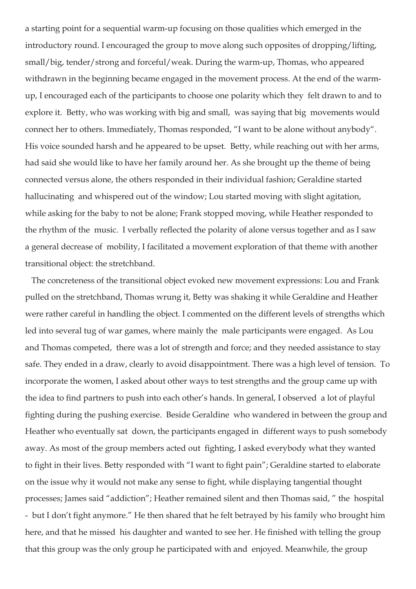a starting point for a sequential warm-up focusing on those qualities which emerged in the introductory round. I encouraged the group to move along such opposites of dropping/lifting, small/big, tender/strong and forceful/weak. During the warm-up, Thomas, who appeared withdrawn in the beginning became engaged in the movement process. At the end of the warmup, I encouraged each of the participants to choose one polarity which they felt drawn to and to explore it. Betty, who was working with big and small, was saying that big movements would connect her to others. Immediately, Thomas responded, "I want to be alone without anybody". His voice sounded harsh and he appeared to be upset. Betty, while reaching out with her arms, had said she would like to have her family around her. As she brought up the theme of being connected versus alone, the others responded in their individual fashion; Geraldine started hallucinating and whispered out of the window; Lou started moving with slight agitation, while asking for the baby to not be alone; Frank stopped moving, while Heather responded to the rhythm of the music. I verbally reflected the polarity of alone versus together and as I saw a general decrease of mobility, I facilitated a movement exploration of that theme with another transitional object: the stretchband.

 The concreteness of the transitional object evoked new movement expressions: Lou and Frank pulled on the stretchband, Thomas wrung it, Betty was shaking it while Geraldine and Heather were rather careful in handling the object. I commented on the different levels of strengths which led into several tug of war games, where mainly the male participants were engaged. As Lou and Thomas competed, there was a lot of strength and force; and they needed assistance to stay safe. They ended in a draw, clearly to avoid disappointment. There was a high level of tension. To incorporate the women, I asked about other ways to test strengths and the group came up with the idea to find partners to push into each other's hands. In general, I observed a lot of playful fighting during the pushing exercise. Beside Geraldine who wandered in between the group and Heather who eventually sat down, the participants engaged in different ways to push somebody away. As most of the group members acted out fighting, I asked everybody what they wanted to fight in their lives. Betty responded with "I want to fight pain"; Geraldine started to elaborate on the issue why it would not make any sense to fight, while displaying tangential thought processes; James said "addiction"; Heather remained silent and then Thomas said, " the hospital - but I don't fight anymore." He then shared that he felt betrayed by his family who brought him here, and that he missed his daughter and wanted to see her. He finished with telling the group that this group was the only group he participated with and enjoyed. Meanwhile, the group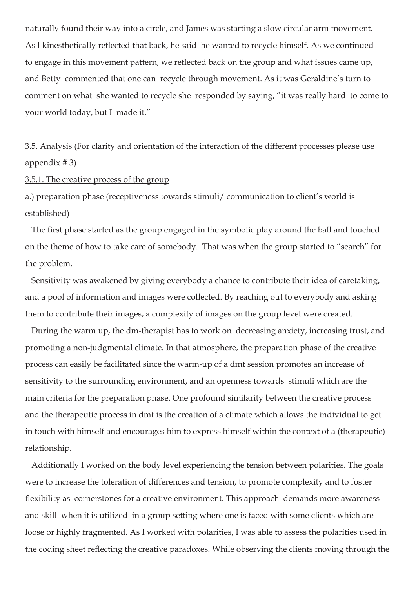naturally found their way into a circle, and James was starting a slow circular arm movement. As I kinesthetically reflected that back, he said he wanted to recycle himself. As we continued to engage in this movement pattern, we reflected back on the group and what issues came up, and Betty commented that one can recycle through movement. As it was Geraldine's turn to comment on what she wanted to recycle she responded by saying, "it was really hard to come to your world today, but I made it."

3.5. Analysis (For clarity and orientation of the interaction of the different processes please use appendix # 3)

# 3.5.1. The creative process of the group

a.) preparation phase (receptiveness towards stimuli/ communication to client's world is established)

 The first phase started as the group engaged in the symbolic play around the ball and touched on the theme of how to take care of somebody. That was when the group started to "search" for the problem.

 Sensitivity was awakened by giving everybody a chance to contribute their idea of caretaking, and a pool of information and images were collected. By reaching out to everybody and asking them to contribute their images, a complexity of images on the group level were created.

 During the warm up, the dm-therapist has to work on decreasing anxiety, increasing trust, and promoting a non-judgmental climate. In that atmosphere, the preparation phase of the creative process can easily be facilitated since the warm-up of a dmt session promotes an increase of sensitivity to the surrounding environment, and an openness towards stimuli which are the main criteria for the preparation phase. One profound similarity between the creative process and the therapeutic process in dmt is the creation of a climate which allows the individual to get in touch with himself and encourages him to express himself within the context of a (therapeutic) relationship.

 Additionally I worked on the body level experiencing the tension between polarities. The goals were to increase the toleration of differences and tension, to promote complexity and to foster flexibility as cornerstones for a creative environment. This approach demands more awareness and skill when it is utilized in a group setting where one is faced with some clients which are loose or highly fragmented. As I worked with polarities, I was able to assess the polarities used in the coding sheet reflecting the creative paradoxes. While observing the clients moving through the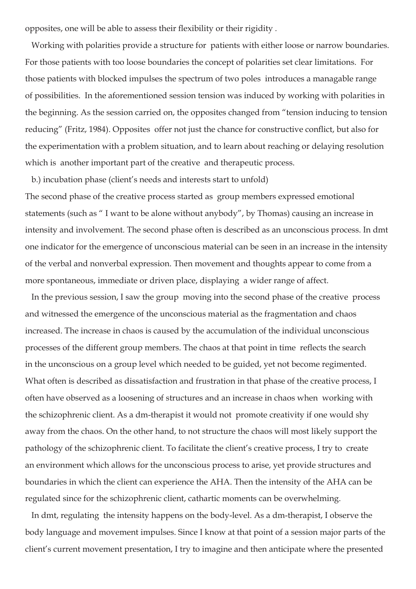opposites, one will be able to assess their flexibility or their rigidity *.*

 Working with polarities provide a structure for patients with either loose or narrow boundaries. For those patients with too loose boundaries the concept of polarities set clear limitations. For those patients with blocked impulses the spectrum of two poles introduces a managable range of possibilities. In the aforementioned session tension was induced by working with polarities in the beginning. As the session carried on, the opposites changed from "tension inducing to tension reducing" (Fritz, 1984). Opposites offer not just the chance for constructive conflict, but also for the experimentation with a problem situation, and to learn about reaching or delaying resolution which is another important part of the creative and therapeutic process.

 b.) incubation phase (client's needs and interests start to unfold) The second phase of the creative process started as group members expressed emotional statements (such as " I want to be alone without anybody", by Thomas) causing an increase in intensity and involvement. The second phase often is described as an unconscious process. In dmt one indicator for the emergence of unconscious material can be seen in an increase in the intensity of the verbal and nonverbal expression. Then movement and thoughts appear to come from a more spontaneous, immediate or driven place, displaying a wider range of affect.

 In the previous session, I saw the group moving into the second phase of the creative process and witnessed the emergence of the unconscious material as the fragmentation and chaos increased. The increase in chaos is caused by the accumulation of the individual unconscious processes of the different group members. The chaos at that point in time reflects the search in the unconscious on a group level which needed to be guided, yet not become regimented. What often is described as dissatisfaction and frustration in that phase of the creative process, I often have observed as a loosening of structures and an increase in chaos when working with the schizophrenic client. As a dm-therapist it would not promote creativity if one would shy away from the chaos. On the other hand, to not structure the chaos will most likely support the pathology of the schizophrenic client. To facilitate the client's creative process, I try to create an environment which allows for the unconscious process to arise, yet provide structures and boundaries in which the client can experience the AHA. Then the intensity of the AHA can be regulated since for the schizophrenic client, cathartic moments can be overwhelming.

 In dmt, regulating the intensity happens on the body-level. As a dm-therapist, I observe the body language and movement impulses. Since I know at that point of a session major parts of the client's current movement presentation, I try to imagine and then anticipate where the presented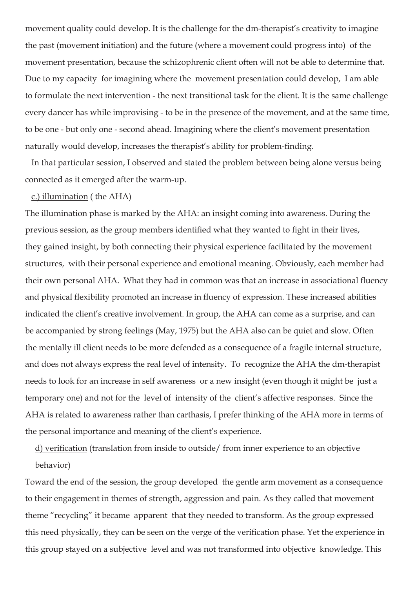movement quality could develop. It is the challenge for the dm-therapist's creativity to imagine the past (movement initiation) and the future (where a movement could progress into) of the movement presentation, because the schizophrenic client often will not be able to determine that. Due to my capacity for imagining where the movement presentation could develop, I am able to formulate the next intervention - the next transitional task for the client. It is the same challenge every dancer has while improvising - to be in the presence of the movement, and at the same time, to be one - but only one - second ahead. Imagining where the client's movement presentation naturally would develop, increases the therapist's ability for problem-finding.

 In that particular session, I observed and stated the problem between being alone versus being connected as it emerged after the warm-up.

#### c.) illumination ( the AHA)

The illumination phase is marked by the AHA: an insight coming into awareness. During the previous session, as the group members identified what they wanted to fight in their lives, they gained insight, by both connecting their physical experience facilitated by the movement structures, with their personal experience and emotional meaning. Obviously, each member had their own personal AHA. What they had in common was that an increase in associational fluency and physical flexibility promoted an increase in fluency of expression. These increased abilities indicated the client's creative involvement. In group, the AHA can come as a surprise, and can be accompanied by strong feelings (May, 1975) but the AHA also can be quiet and slow. Often the mentally ill client needs to be more defended as a consequence of a fragile internal structure, and does not always express the real level of intensity. To recognize the AHA the dm-therapist needs to look for an increase in self awareness or a new insight (even though it might be just a temporary one) and not for the level of intensity of the client's affective responses. Since the AHA is related to awareness rather than carthasis, I prefer thinking of the AHA more in terms of the personal importance and meaning of the client's experience.

d) verification (translation from inside to outside/ from inner experience to an objective behavior)

Toward the end of the session, the group developed the gentle arm movement as a consequence to their engagement in themes of strength, aggression and pain. As they called that movement theme "recycling" it became apparent that they needed to transform. As the group expressed this need physically, they can be seen on the verge of the verification phase. Yet the experience in this group stayed on a subjective level and was not transformed into objective knowledge. This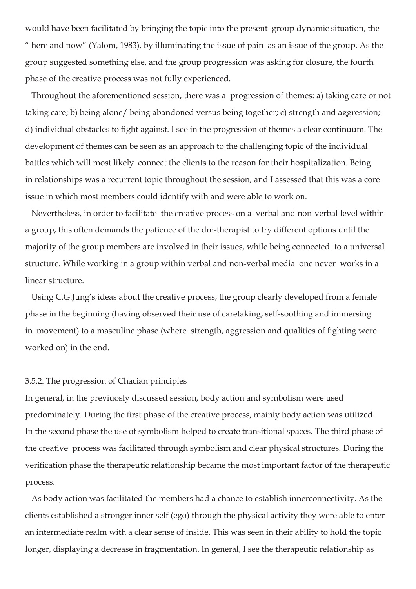would have been facilitated by bringing the topic into the present group dynamic situation, the " here and now" (Yalom, 1983), by illuminating the issue of pain as an issue of the group. As the group suggested something else, and the group progression was asking for closure, the fourth phase of the creative process was not fully experienced.

 Throughout the aforementioned session, there was a progression of themes: a) taking care or not taking care; b) being alone/ being abandoned versus being together; c) strength and aggression; d) individual obstacles to fight against. I see in the progression of themes a clear continuum. The development of themes can be seen as an approach to the challenging topic of the individual battles which will most likely connect the clients to the reason for their hospitalization. Being in relationships was a recurrent topic throughout the session, and I assessed that this was a core issue in which most members could identify with and were able to work on.

 Nevertheless, in order to facilitate the creative process on a verbal and non-verbal level within a group, this often demands the patience of the dm-therapist to try different options until the majority of the group members are involved in their issues, while being connected to a universal structure. While working in a group within verbal and non-verbal media one never works in a linear structure.

 Using C.G.Jung's ideas about the creative process, the group clearly developed from a female phase in the beginning (having observed their use of caretaking, self-soothing and immersing in movement) to a masculine phase (where strength, aggression and qualities of fighting were worked on) in the end.

#### 3.5.2. The progression of Chacian principles

In general, in the previuosly discussed session, body action and symbolism were used predominately. During the first phase of the creative process, mainly body action was utilized. In the second phase the use of symbolism helped to create transitional spaces. The third phase of the creative process was facilitated through symbolism and clear physical structures. During the verification phase the therapeutic relationship became the most important factor of the therapeutic process.

 As body action was facilitated the members had a chance to establish innerconnectivity. As the clients established a stronger inner self (ego) through the physical activity they were able to enter an intermediate realm with a clear sense of inside. This was seen in their ability to hold the topic longer, displaying a decrease in fragmentation. In general, I see the therapeutic relationship as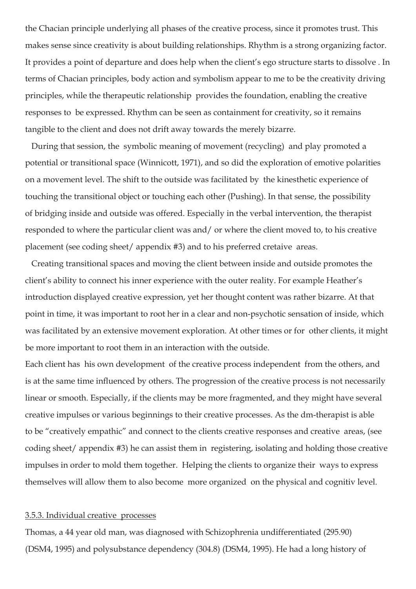the Chacian principle underlying all phases of the creative process, since it promotes trust. This makes sense since creativity is about building relationships. Rhythm is a strong organizing factor. It provides a point of departure and does help when the client's ego structure starts to dissolve . In terms of Chacian principles, body action and symbolism appear to me to be the creativity driving principles, while the therapeutic relationship provides the foundation, enabling the creative responses to be expressed. Rhythm can be seen as containment for creativity, so it remains tangible to the client and does not drift away towards the merely bizarre.

 During that session, the symbolic meaning of movement (recycling) and play promoted a potential or transitional space (Winnicott, 1971), and so did the exploration of emotive polarities on a movement level. The shift to the outside was facilitated by the kinesthetic experience of touching the transitional object or touching each other (Pushing). In that sense, the possibility of bridging inside and outside was offered. Especially in the verbal intervention, the therapist responded to where the particular client was and/ or where the client moved to, to his creative placement (see coding sheet/ appendix #3) and to his preferred cretaive areas.

 Creating transitional spaces and moving the client between inside and outside promotes the client's ability to connect his inner experience with the outer reality. For example Heather's introduction displayed creative expression, yet her thought content was rather bizarre. At that point in time, it was important to root her in a clear and non-psychotic sensation of inside, which was facilitated by an extensive movement exploration. At other times or for other clients, it might be more important to root them in an interaction with the outside.

Each client has his own development of the creative process independent from the others, and is at the same time influenced by others. The progression of the creative process is not necessarily linear or smooth. Especially, if the clients may be more fragmented, and they might have several creative impulses or various beginnings to their creative processes. As the dm-therapist is able to be "creatively empathic" and connect to the clients creative responses and creative areas, (see coding sheet/ appendix #3) he can assist them in registering, isolating and holding those creative impulses in order to mold them together. Helping the clients to organize their ways to express themselves will allow them to also become more organized on the physical and cognitiv level.

#### 3.5.3. Individual creative processes

Thomas, a 44 year old man, was diagnosed with Schizophrenia undifferentiated (295.90) (DSM4, 1995) and polysubstance dependency (304.8) (DSM4, 1995). He had a long history of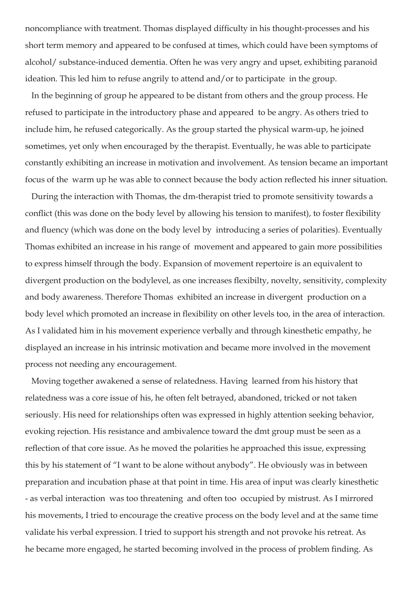noncompliance with treatment. Thomas displayed difficulty in his thought-processes and his short term memory and appeared to be confused at times, which could have been symptoms of alcohol/ substance-induced dementia. Often he was very angry and upset, exhibiting paranoid ideation. This led him to refuse angrily to attend and/or to participate in the group.

 In the beginning of group he appeared to be distant from others and the group process. He refused to participate in the introductory phase and appeared to be angry. As others tried to include him, he refused categorically. As the group started the physical warm-up, he joined sometimes, yet only when encouraged by the therapist. Eventually, he was able to participate constantly exhibiting an increase in motivation and involvement. As tension became an important focus of the warm up he was able to connect because the body action reflected his inner situation.

 During the interaction with Thomas, the dm-therapist tried to promote sensitivity towards a conflict (this was done on the body level by allowing his tension to manifest), to foster flexibility and fluency (which was done on the body level by introducing a series of polarities). Eventually Thomas exhibited an increase in his range of movement and appeared to gain more possibilities to express himself through the body. Expansion of movement repertoire is an equivalent to divergent production on the bodylevel, as one increases flexibilty, novelty, sensitivity, complexity and body awareness. Therefore Thomas exhibited an increase in divergent production on a body level which promoted an increase in flexibility on other levels too, in the area of interaction. As I validated him in his movement experience verbally and through kinesthetic empathy, he displayed an increase in his intrinsic motivation and became more involved in the movement process not needing any encouragement.

 Moving together awakened a sense of relatedness. Having learned from his history that relatedness was a core issue of his, he often felt betrayed, abandoned, tricked or not taken seriously. His need for relationships often was expressed in highly attention seeking behavior, evoking rejection. His resistance and ambivalence toward the dmt group must be seen as a reflection of that core issue. As he moved the polarities he approached this issue, expressing this by his statement of "I want to be alone without anybody". He obviously was in between preparation and incubation phase at that point in time. His area of input was clearly kinesthetic - as verbal interaction was too threatening and often too occupied by mistrust. As I mirrored his movements, I tried to encourage the creative process on the body level and at the same time validate his verbal expression. I tried to support his strength and not provoke his retreat. As he became more engaged, he started becoming involved in the process of problem finding. As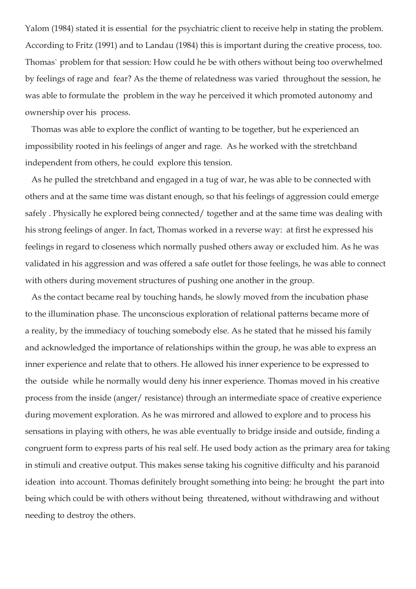Yalom (1984) stated it is essential for the psychiatric client to receive help in stating the problem. According to Fritz (1991) and to Landau (1984) this is important during the creative process, too. Thomas` problem for that session: How could he be with others without being too overwhelmed by feelings of rage and fear? As the theme of relatedness was varied throughout the session, he was able to formulate the problem in the way he perceived it which promoted autonomy and ownership over his process.

 Thomas was able to explore the conflict of wanting to be together, but he experienced an impossibility rooted in his feelings of anger and rage. As he worked with the stretchband independent from others, he could explore this tension.

 As he pulled the stretchband and engaged in a tug of war, he was able to be connected with others and at the same time was distant enough, so that his feelings of aggression could emerge safely . Physically he explored being connected/ together and at the same time was dealing with his strong feelings of anger. In fact, Thomas worked in a reverse way: at first he expressed his feelings in regard to closeness which normally pushed others away or excluded him. As he was validated in his aggression and was offered a safe outlet for those feelings, he was able to connect with others during movement structures of pushing one another in the group.

 As the contact became real by touching hands, he slowly moved from the incubation phase to the illumination phase. The unconscious exploration of relational patterns became more of a reality, by the immediacy of touching somebody else. As he stated that he missed his family and acknowledged the importance of relationships within the group, he was able to express an inner experience and relate that to others. He allowed his inner experience to be expressed to the outside while he normally would deny his inner experience. Thomas moved in his creative process from the inside (anger/ resistance) through an intermediate space of creative experience during movement exploration. As he was mirrored and allowed to explore and to process his sensations in playing with others, he was able eventually to bridge inside and outside, finding a congruent form to express parts of his real self. He used body action as the primary area for taking in stimuli and creative output. This makes sense taking his cognitive difficulty and his paranoid ideation into account. Thomas definitely brought something into being: he brought the part into being which could be with others without being threatened, without withdrawing and without needing to destroy the others.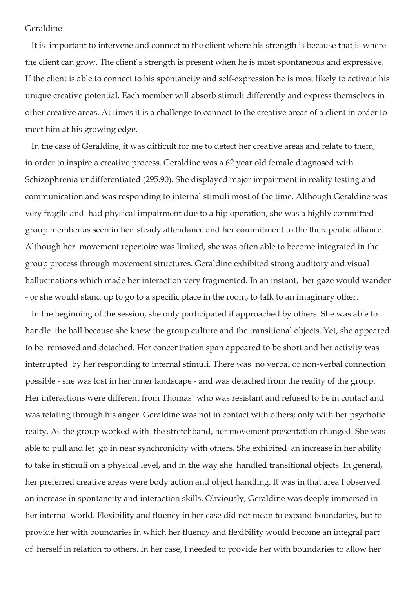# Geraldine

 It is important to intervene and connect to the client where his strength is because that is where the client can grow. The client`s strength is present when he is most spontaneous and expressive. If the client is able to connect to his spontaneity and self-expression he is most likely to activate his unique creative potential. Each member will absorb stimuli differently and express themselves in other creative areas. At times it is a challenge to connect to the creative areas of a client in order to meet him at his growing edge.

 In the case of Geraldine, it was difficult for me to detect her creative areas and relate to them, in order to inspire a creative process. Geraldine was a 62 year old female diagnosed with Schizophrenia undifferentiated (295.90). She displayed major impairment in reality testing and communication and was responding to internal stimuli most of the time. Although Geraldine was very fragile and had physical impairment due to a hip operation, she was a highly committed group member as seen in her steady attendance and her commitment to the therapeutic alliance. Although her movement repertoire was limited, she was often able to become integrated in the group process through movement structures. Geraldine exhibited strong auditory and visual hallucinations which made her interaction very fragmented. In an instant, her gaze would wander - or she would stand up to go to a specific place in the room, to talk to an imaginary other.

 In the beginning of the session, she only participated if approached by others. She was able to handle the ball because she knew the group culture and the transitional objects. Yet, she appeared to be removed and detached. Her concentration span appeared to be short and her activity was interrupted by her responding to internal stimuli. There was no verbal or non-verbal connection possible - she was lost in her inner landscape - and was detached from the reality of the group. Her interactions were different from Thomas` who was resistant and refused to be in contact and was relating through his anger. Geraldine was not in contact with others; only with her psychotic realty. As the group worked with the stretchband, her movement presentation changed. She was able to pull and let go in near synchronicity with others. She exhibited an increase in her ability to take in stimuli on a physical level, and in the way she handled transitional objects. In general, her preferred creative areas were body action and object handling. It was in that area I observed an increase in spontaneity and interaction skills. Obviously, Geraldine was deeply immersed in her internal world. Flexibility and fluency in her case did not mean to expand boundaries, but to provide her with boundaries in which her fluency and flexibility would become an integral part of herself in relation to others. In her case, I needed to provide her with boundaries to allow her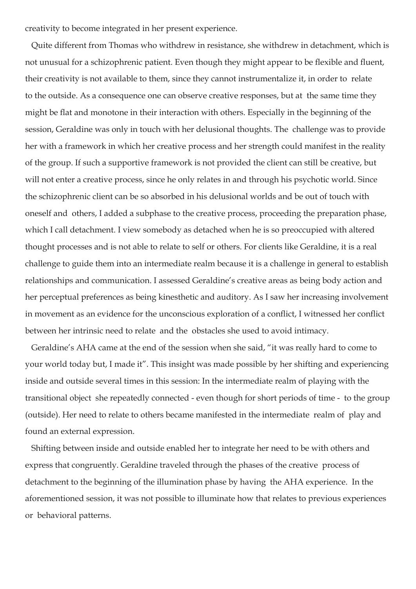creativity to become integrated in her present experience.

 Quite different from Thomas who withdrew in resistance, she withdrew in detachment, which is not unusual for a schizophrenic patient. Even though they might appear to be flexible and fluent, their creativity is not available to them, since they cannot instrumentalize it, in order to relate to the outside. As a consequence one can observe creative responses, but at the same time they might be flat and monotone in their interaction with others. Especially in the beginning of the session, Geraldine was only in touch with her delusional thoughts. The challenge was to provide her with a framework in which her creative process and her strength could manifest in the reality of the group. If such a supportive framework is not provided the client can still be creative, but will not enter a creative process, since he only relates in and through his psychotic world. Since the schizophrenic client can be so absorbed in his delusional worlds and be out of touch with oneself and others, I added a subphase to the creative process, proceeding the preparation phase, which I call detachment. I view somebody as detached when he is so preoccupied with altered thought processes and is not able to relate to self or others. For clients like Geraldine, it is a real challenge to guide them into an intermediate realm because it is a challenge in general to establish relationships and communication. I assessed Geraldine's creative areas as being body action and her perceptual preferences as being kinesthetic and auditory. As I saw her increasing involvement in movement as an evidence for the unconscious exploration of a conflict, I witnessed her conflict between her intrinsic need to relate and the obstacles she used to avoid intimacy.

 Geraldine's AHA came at the end of the session when she said, "it was really hard to come to your world today but, I made it". This insight was made possible by her shifting and experiencing inside and outside several times in this session: In the intermediate realm of playing with the transitional object she repeatedly connected - even though for short periods of time - to the group (outside). Her need to relate to others became manifested in the intermediate realm of play and found an external expression.

 Shifting between inside and outside enabled her to integrate her need to be with others and express that congruently. Geraldine traveled through the phases of the creative process of detachment to the beginning of the illumination phase by having the AHA experience. In the aforementioned session, it was not possible to illuminate how that relates to previous experiences or behavioral patterns.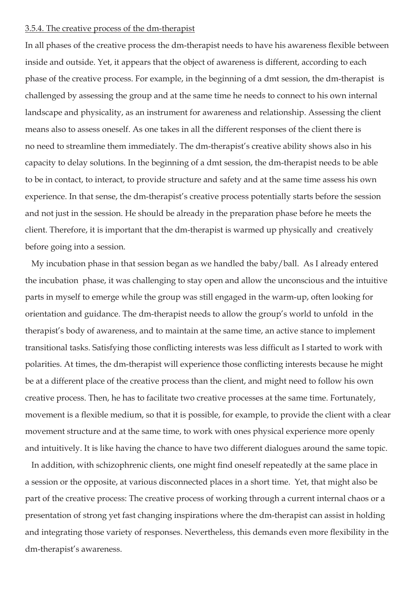### 3.5.4. The creative process of the dm-therapist

In all phases of the creative process the dm-therapist needs to have his awareness flexible between inside and outside. Yet, it appears that the object of awareness is different, according to each phase of the creative process. For example, in the beginning of a dmt session, the dm-therapist is challenged by assessing the group and at the same time he needs to connect to his own internal landscape and physicality, as an instrument for awareness and relationship. Assessing the client means also to assess oneself. As one takes in all the different responses of the client there is no need to streamline them immediately. The dm-therapist's creative ability shows also in his capacity to delay solutions. In the beginning of a dmt session, the dm-therapist needs to be able to be in contact, to interact, to provide structure and safety and at the same time assess his own experience. In that sense, the dm-therapist's creative process potentially starts before the session and not just in the session. He should be already in the preparation phase before he meets the client. Therefore, it is important that the dm-therapist is warmed up physically and creatively before going into a session.

 My incubation phase in that session began as we handled the baby/ball. As I already entered the incubation phase, it was challenging to stay open and allow the unconscious and the intuitive parts in myself to emerge while the group was still engaged in the warm-up, often looking for orientation and guidance. The dm-therapist needs to allow the group's world to unfold in the therapist's body of awareness, and to maintain at the same time, an active stance to implement transitional tasks. Satisfying those conflicting interests was less difficult as I started to work with polarities. At times, the dm-therapist will experience those conflicting interests because he might be at a different place of the creative process than the client, and might need to follow his own creative process. Then, he has to facilitate two creative processes at the same time. Fortunately, movement is a flexible medium, so that it is possible, for example, to provide the client with a clear movement structure and at the same time, to work with ones physical experience more openly and intuitively. It is like having the chance to have two different dialogues around the same topic.

 In addition, with schizophrenic clients, one might find oneself repeatedly at the same place in a session or the opposite, at various disconnected places in a short time. Yet, that might also be part of the creative process: The creative process of working through a current internal chaos or a presentation of strong yet fast changing inspirations where the dm-therapist can assist in holding and integrating those variety of responses. Nevertheless, this demands even more flexibility in the dm-therapist's awareness.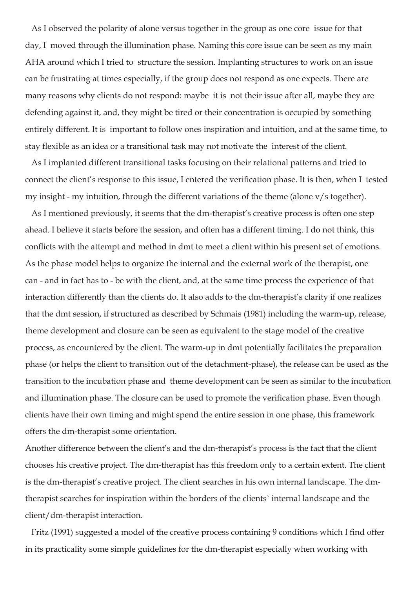As I observed the polarity of alone versus together in the group as one core issue for that day, I moved through the illumination phase. Naming this core issue can be seen as my main AHA around which I tried to structure the session. Implanting structures to work on an issue can be frustrating at times especially, if the group does not respond as one expects. There are many reasons why clients do not respond: maybe it is not their issue after all, maybe they are defending against it, and, they might be tired or their concentration is occupied by something entirely different. It is important to follow ones inspiration and intuition, and at the same time, to stay flexible as an idea or a transitional task may not motivate the interest of the client.

 As I implanted different transitional tasks focusing on their relational patterns and tried to connect the client's response to this issue, I entered the verification phase. It is then, when I tested my insight - my intuition, through the different variations of the theme (alone v/s together).

 As I mentioned previously, it seems that the dm-therapist's creative process is often one step ahead. I believe it starts before the session, and often has a different timing. I do not think, this conflicts with the attempt and method in dmt to meet a client within his present set of emotions. As the phase model helps to organize the internal and the external work of the therapist, one can - and in fact has to - be with the client, and, at the same time process the experience of that interaction differently than the clients do. It also adds to the dm-therapist's clarity if one realizes that the dmt session, if structured as described by Schmais (1981) including the warm-up, release, theme development and closure can be seen as equivalent to the stage model of the creative process, as encountered by the client. The warm-up in dmt potentially facilitates the preparation phase (or helps the client to transition out of the detachment-phase), the release can be used as the transition to the incubation phase and theme development can be seen as similar to the incubation and illumination phase. The closure can be used to promote the verification phase. Even though clients have their own timing and might spend the entire session in one phase, this framework offers the dm-therapist some orientation.

Another difference between the client's and the dm-therapist's process is the fact that the client chooses his creative project. The dm-therapist has this freedom only to a certain extent. The client is the dm-therapist's creative project. The client searches in his own internal landscape. The dmtherapist searches for inspiration within the borders of the clients` internal landscape and the client/dm-therapist interaction.

Fritz (1991) suggested a model of the creative process containing 9 conditions which I find offer in its practicality some simple guidelines for the dm-therapist especially when working with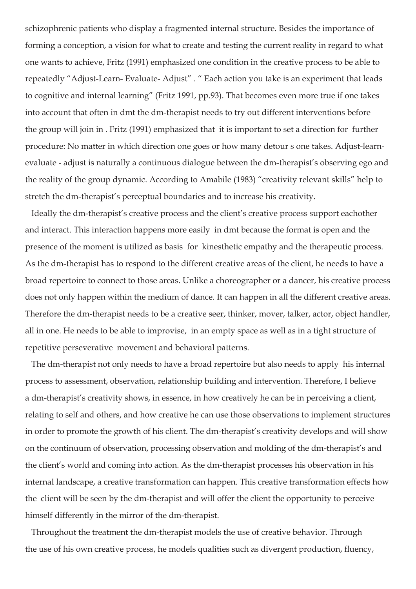schizophrenic patients who display a fragmented internal structure. Besides the importance of forming a conception, a vision for what to create and testing the current reality in regard to what one wants to achieve, Fritz (1991) emphasized one condition in the creative process to be able to repeatedly "Adjust-Learn- Evaluate- Adjust" . " Each action you take is an experiment that leads to cognitive and internal learning" (Fritz 1991, pp.93). That becomes even more true if one takes into account that often in dmt the dm-therapist needs to try out different interventions before the group will join in . Fritz (1991) emphasized that it is important to set a direction for further procedure: No matter in which direction one goes or how many detour s one takes. Adjust-learnevaluate - adjust is naturally a continuous dialogue between the dm-therapist's observing ego and the reality of the group dynamic. According to Amabile (1983) "creativity relevant skills" help to stretch the dm-therapist's perceptual boundaries and to increase his creativity.

 Ideally the dm-therapist's creative process and the client's creative process support eachother and interact. This interaction happens more easily in dmt because the format is open and the presence of the moment is utilized as basis for kinesthetic empathy and the therapeutic process. As the dm-therapist has to respond to the different creative areas of the client, he needs to have a broad repertoire to connect to those areas. Unlike a choreographer or a dancer, his creative process does not only happen within the medium of dance. It can happen in all the different creative areas. Therefore the dm-therapist needs to be a creative seer, thinker, mover, talker, actor, object handler, all in one. He needs to be able to improvise, in an empty space as well as in a tight structure of repetitive perseverative movement and behavioral patterns.

 The dm-therapist not only needs to have a broad repertoire but also needs to apply his internal process to assessment, observation, relationship building and intervention. Therefore, I believe a dm-therapist's creativity shows, in essence, in how creatively he can be in perceiving a client, relating to self and others, and how creative he can use those observations to implement structures in order to promote the growth of his client. The dm-therapist's creativity develops and will show on the continuum of observation, processing observation and molding of the dm-therapist's and the client's world and coming into action. As the dm-therapist processes his observation in his internal landscape, a creative transformation can happen. This creative transformation effects how the client will be seen by the dm-therapist and will offer the client the opportunity to perceive himself differently in the mirror of the dm-therapist.

Throughout the treatment the dm-therapist models the use of creative behavior. Through the use of his own creative process, he models qualities such as divergent production, fluency,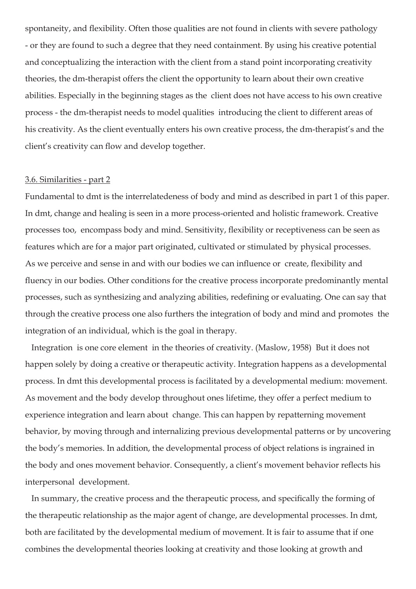spontaneity, and flexibility. Often those qualities are not found in clients with severe pathology - or they are found to such a degree that they need containment. By using his creative potential and conceptualizing the interaction with the client from a stand point incorporating creativity theories, the dm-therapist offers the client the opportunity to learn about their own creative abilities. Especially in the beginning stages as the client does not have access to his own creative process - the dm-therapist needs to model qualities introducing the client to different areas of his creativity. As the client eventually enters his own creative process, the dm-therapist's and the client's creativity can flow and develop together.

# 3.6. Similarities - part 2

Fundamental to dmt is the interrelatedeness of body and mind as described in part 1 of this paper. In dmt, change and healing is seen in a more process-oriented and holistic framework. Creative processes too, encompass body and mind. Sensitivity, flexibility or receptiveness can be seen as features which are for a major part originated, cultivated or stimulated by physical processes. As we perceive and sense in and with our bodies we can influence or create, flexibility and fluency in our bodies*.* Other conditions for the creative process incorporate predominantly mental processes, such as synthesizing and analyzing abilities, redefining or evaluating. One can say that through the creative process one also furthers the integration of body and mind and promotes the integration of an individual, which is the goal in therapy.

 Integration is one core element in the theories of creativity. (Maslow, 1958) But it does not happen solely by doing a creative or therapeutic activity. Integration happens as a developmental process. In dmt this developmental process is facilitated by a developmental medium: movement. As movement and the body develop throughout ones lifetime, they offer a perfect medium to experience integration and learn about change. This can happen by repatterning movement behavior, by moving through and internalizing previous developmental patterns or by uncovering the body's memories. In addition, the developmental process of object relations is ingrained in the body and ones movement behavior. Consequently, a client's movement behavior reflects his interpersonal development.

 In summary, the creative process and the therapeutic process, and specifically the forming of the therapeutic relationship as the major agent of change, are developmental processes. In dmt, both are facilitated by the developmental medium of movement. It is fair to assume that if one combines the developmental theories looking at creativity and those looking at growth and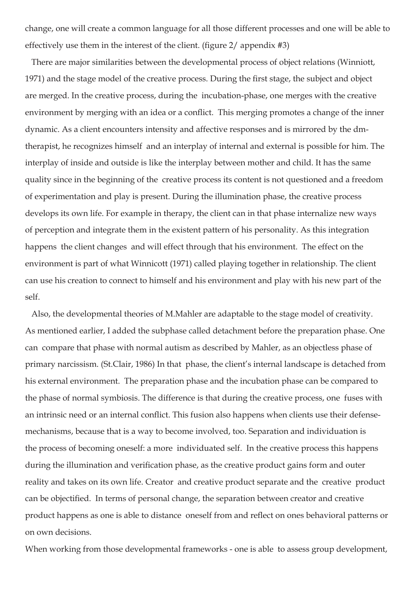change, one will create a common language for all those different processes and one will be able to effectively use them in the interest of the client. (figure 2/ appendix #3)

 There are major similarities between the developmental process of object relations (Winniott, 1971) and the stage model of the creative process. During the first stage, the subject and object are merged. In the creative process, during the incubation-phase, one merges with the creative environment by merging with an idea or a conflict. This merging promotes a change of the inner dynamic. As a client encounters intensity and affective responses and is mirrored by the dmtherapist, he recognizes himself and an interplay of internal and external is possible for him. The interplay of inside and outside is like the interplay between mother and child. It has the same quality since in the beginning of the creative process its content is not questioned and a freedom of experimentation and play is present. During the illumination phase, the creative process develops its own life. For example in therapy, the client can in that phase internalize new ways of perception and integrate them in the existent pattern of his personality. As this integration happens the client changes and will effect through that his environment. The effect on the environment is part of what Winnicott (1971) called playing together in relationship. The client can use his creation to connect to himself and his environment and play with his new part of the self.

Also, the developmental theories of M.Mahler are adaptable to the stage model of creativity. As mentioned earlier, I added the subphase called detachment before the preparation phase. One can compare that phase with normal autism as described by Mahler, as an objectless phase of primary narcissism. (St.Clair, 1986) In that phase, the client's internal landscape is detached from his external environment. The preparation phase and the incubation phase can be compared to the phase of normal symbiosis. The difference is that during the creative process, one fuses with an intrinsic need or an internal conflict. This fusion also happens when clients use their defensemechanisms, because that is a way to become involved, too. Separation and individuation is the process of becoming oneself: a more individuated self. In the creative process this happens during the illumination and verification phase, as the creative product gains form and outer reality and takes on its own life. Creator and creative product separate and the creative product can be objectified. In terms of personal change, the separation between creator and creative product happens as one is able to distance oneself from and reflect on ones behavioral patterns or on own decisions.

When working from those developmental frameworks - one is able to assess group development,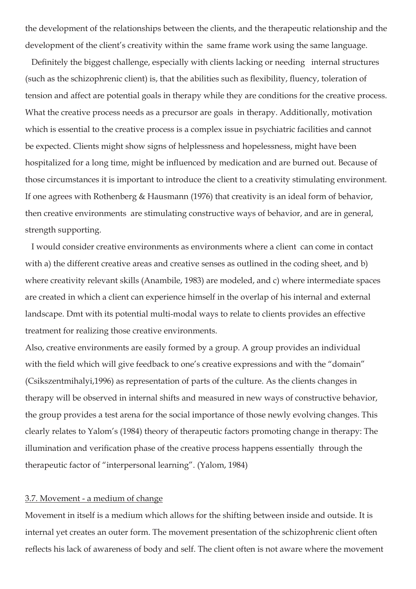the development of the relationships between the clients, and the therapeutic relationship and the development of the client's creativity within the same frame work using the same language.

 Definitely the biggest challenge, especially with clients lacking or needing internal structures (such as the schizophrenic client) is, that the abilities such as flexibility, fluency, toleration of tension and affect are potential goals in therapy while they are conditions for the creative process. What the creative process needs as a precursor are goals in therapy. Additionally, motivation which is essential to the creative process is a complex issue in psychiatric facilities and cannot be expected. Clients might show signs of helplessness and hopelessness, might have been hospitalized for a long time, might be influenced by medication and are burned out. Because of those circumstances it is important to introduce the client to a creativity stimulating environment. If one agrees with Rothenberg & Hausmann (1976) that creativity is an ideal form of behavior, then creative environments are stimulating constructive ways of behavior, and are in general, strength supporting.

 I would consider creative environments as environments where a client can come in contact with a) the different creative areas and creative senses as outlined in the coding sheet, and b) where creativity relevant skills (Anambile, 1983) are modeled, and c) where intermediate spaces are created in which a client can experience himself in the overlap of his internal and external landscape. Dmt with its potential multi-modal ways to relate to clients provides an effective treatment for realizing those creative environments.

Also, creative environments are easily formed by a group. A group provides an individual with the field which will give feedback to one's creative expressions and with the "domain" (Csikszentmihalyi,1996) as representation of parts of the culture. As the clients changes in therapy will be observed in internal shifts and measured in new ways of constructive behavior, the group provides a test arena for the social importance of those newly evolving changes. This clearly relates to Yalom's (1984) theory of therapeutic factors promoting change in therapy: The illumination and verification phase of the creative process happens essentially through the therapeutic factor of "interpersonal learning". (Yalom, 1984)

# 3.7. Movement - a medium of change

Movement in itself is a medium which allows for the shifting between inside and outside. It is internal yet creates an outer form. The movement presentation of the schizophrenic client often reflects his lack of awareness of body and self. The client often is not aware where the movement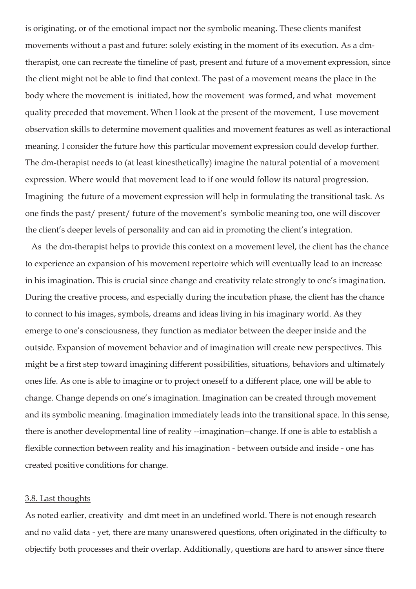is originating, or of the emotional impact nor the symbolic meaning. These clients manifest movements without a past and future: solely existing in the moment of its execution. As a dmtherapist, one can recreate the timeline of past, present and future of a movement expression, since the client might not be able to find that context. The past of a movement means the place in the body where the movement is initiated, how the movement was formed, and what movement quality preceded that movement. When I look at the present of the movement, I use movement observation skills to determine movement qualities and movement features as well as interactional meaning. I consider the future how this particular movement expression could develop further. The dm-therapist needs to (at least kinesthetically) imagine the natural potential of a movement expression. Where would that movement lead to if one would follow its natural progression. Imagining the future of a movement expression will help in formulating the transitional task. As one finds the past/ present/ future of the movement's symbolic meaning too, one will discover the client's deeper levels of personality and can aid in promoting the client's integration.

 As the dm-therapist helps to provide this context on a movement level, the client has the chance to experience an expansion of his movement repertoire which will eventually lead to an increase in his imagination. This is crucial since change and creativity relate strongly to one's imagination. During the creative process, and especially during the incubation phase, the client has the chance to connect to his images, symbols, dreams and ideas living in his imaginary world. As they emerge to one's consciousness, they function as mediator between the deeper inside and the outside. Expansion of movement behavior and of imagination will create new perspectives. This might be a first step toward imagining different possibilities, situations, behaviors and ultimately ones life. As one is able to imagine or to project oneself to a different place, one will be able to change. Change depends on one's imagination. Imagination can be created through movement and its symbolic meaning. Imagination immediately leads into the transitional space. In this sense, there is another developmental line of reality --imagination--change. If one is able to establish a flexible connection between reality and his imagination - between outside and inside - one has created positive conditions for change.

#### 3.8. Last thoughts

As noted earlier, creativity and dmt meet in an undefined world. There is not enough research and no valid data - yet, there are many unanswered questions, often originated in the difficulty to objectify both processes and their overlap. Additionally, questions are hard to answer since there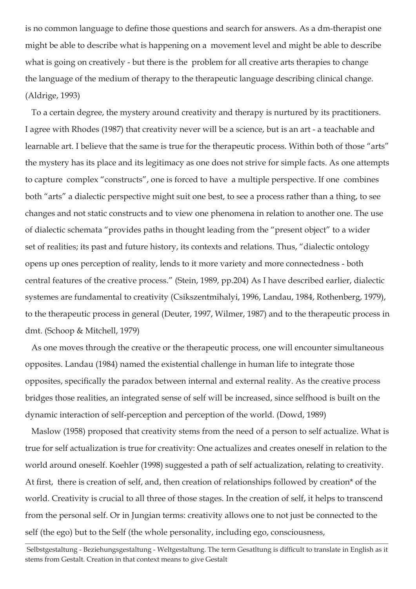is no common language to define those questions and search for answers. As a dm-therapist one might be able to describe what is happening on a movement level and might be able to describe what is going on creatively - but there is the problem for all creative arts therapies to change the language of the medium of therapy to the therapeutic language describing clinical change. (Aldrige, 1993)

 To a certain degree, the mystery around creativity and therapy is nurtured by its practitioners. I agree with Rhodes (1987) that creativity never will be a science, but is an art - a teachable and learnable art. I believe that the same is true for the therapeutic process. Within both of those "arts" the mystery has its place and its legitimacy as one does not strive for simple facts. As one attempts to capture complex "constructs", one is forced to have a multiple perspective. If one combines both "arts" a dialectic perspective might suit one best, to see a process rather than a thing, to see changes and not static constructs and to view one phenomena in relation to another one. The use of dialectic schemata "provides paths in thought leading from the "present object" to a wider set of realities; its past and future history, its contexts and relations. Thus, "dialectic ontology opens up ones perception of reality, lends to it more variety and more connectedness - both central features of the creative process." (Stein, 1989, pp.204) As I have described earlier, dialectic systemes are fundamental to creativity (Csikszentmihalyi, 1996, Landau, 1984, Rothenberg, 1979), to the therapeutic process in general (Deuter, 1997, Wilmer, 1987) and to the therapeutic process in dmt. (Schoop & Mitchell, 1979)

 As one moves through the creative or the therapeutic process, one will encounter simultaneous opposites. Landau (1984) named the existential challenge in human life to integrate those opposites, specifically the paradox between internal and external reality. As the creative process bridges those realities, an integrated sense of self will be increased, since selfhood is built on the dynamic interaction of self-perception and perception of the world. (Dowd, 1989)

 Maslow (1958) proposed that creativity stems from the need of a person to self actualize. What is true for self actualization is true for creativity: One actualizes and creates oneself in relation to the world around oneself. Koehler (1998) suggested a path of self actualization, relating to creativity. At first, there is creation of self, and, then creation of relationships followed by creation\* of the world. Creativity is crucial to all three of those stages. In the creation of self, it helps to transcend from the personal self. Or in Jungian terms: creativity allows one to not just be connected to the self (the ego) but to the Self (the whole personality, including ego, consciousness,

 $\_$  , and the set of the set of the set of the set of the set of the set of the set of the set of the set of the set of the set of the set of the set of the set of the set of the set of the set of the set of the set of th Selbstgestaltung - Beziehungsgestaltung - Weltgestaltung. The term Gesatltung is difficult to translate in English as it stems from Gestalt. Creation in that context means to give Gestalt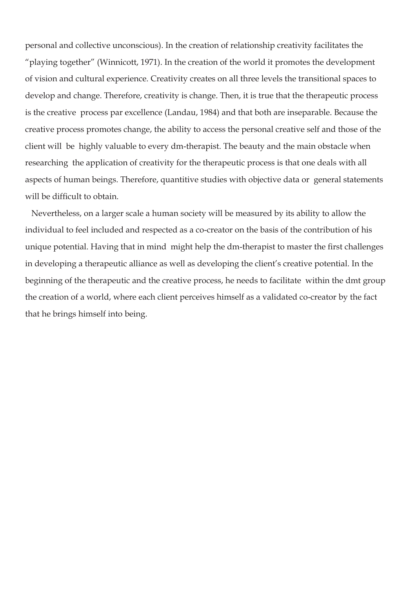personal and collective unconscious). In the creation of relationship creativity facilitates the "playing together" (Winnicott, 1971). In the creation of the world it promotes the development of vision and cultural experience. Creativity creates on all three levels the transitional spaces to develop and change. Therefore, creativity is change. Then, it is true that the therapeutic process is the creative process par excellence (Landau, 1984) and that both are inseparable. Because the creative process promotes change, the ability to access the personal creative self and those of the client will be highly valuable to every dm-therapist. The beauty and the main obstacle when researching the application of creativity for the therapeutic process is that one deals with all aspects of human beings. Therefore, quantitive studies with objective data or general statements will be difficult to obtain.

 Nevertheless, on a larger scale a human society will be measured by its ability to allow the individual to feel included and respected as a co-creator on the basis of the contribution of his unique potential. Having that in mind might help the dm-therapist to master the first challenges in developing a therapeutic alliance as well as developing the client's creative potential. In the beginning of the therapeutic and the creative process, he needs to facilitate within the dmt group the creation of a world, where each client perceives himself as a validated co-creator by the fact that he brings himself into being.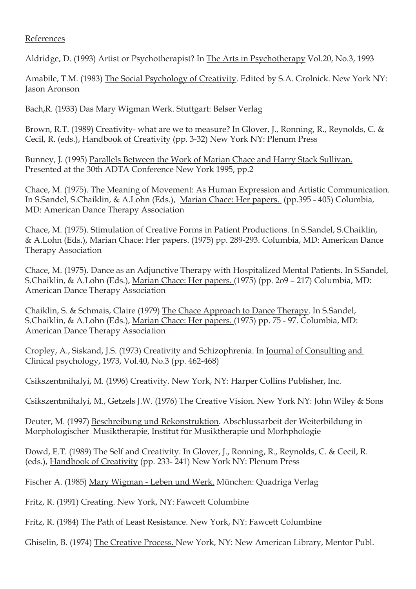# References

Aldridge, D. (1993) Artist or Psychotherapist? In The Arts in Psychotherapy Vol.20, No.3, 1993

Amabile, T.M. (1983) The Social Psychology of Creativity. Edited by S.A. Grolnick. New York NY: Jason Aronson

Bach,R. (1933) Das Mary Wigman Werk. Stuttgart: Belser Verlag

Brown, R.T. (1989) Creativity- what are we to measure? In Glover, J., Ronning, R., Reynolds, C. & Cecil, R. (eds.), Handbook of Creativity (pp. 3-32) New York NY: Plenum Press

Bunney, J. (1995) Parallels Between the Work of Marian Chace and Harry Stack Sullivan. Presented at the 30th ADTA Conference New York 1995, pp.2

Chace, M. (1975). The Meaning of Movement: As Human Expression and Artistic Communication. In S.Sandel, S.Chaiklin, & A.Lohn (Eds.), Marian Chace: Her papers. (pp.395 - 405) Columbia, MD: American Dance Therapy Association

Chace, M. (1975). Stimulation of Creative Forms in Patient Productions. In S.Sandel, S.Chaiklin, & A.Lohn (Eds.), Marian Chace: Her papers. (1975) pp. 289-293. Columbia, MD: American Dance Therapy Association

Chace, M. (1975). Dance as an Adjunctive Therapy with Hospitalized Mental Patients. In S.Sandel, S.Chaiklin, & A.Lohn (Eds.), Marian Chace: Her papers. (1975) (pp. 2o9 – 217) Columbia, MD: American Dance Therapy Association

Chaiklin, S. & Schmais, Claire (1979) The Chace Approach to Dance Therapy. In S.Sandel, S.Chaiklin, & A.Lohn (Eds.), Marian Chace: Her papers. (1975) pp. 75 - 97. Columbia, MD: American Dance Therapy Association

Cropley, A., Siskand, J.S. (1973) Creativity and Schizophrenia. In Journal of Consulting and Clinical psychology, 1973, Vol.40, No.3 (pp. 462-468)

Csikszentmihalyi, M. (1996) Creativity. New York, NY: Harper Collins Publisher, Inc.

Csikszentmihalyi, M., Getzels J.W. (1976) The Creative Vision. New York NY: John Wiley & Sons

Deuter, M. (1997) Beschreibung und Rekonstruktion. Abschlussarbeit der Weiterbildung in Morphologischer Musiktherapie, Institut für Musiktherapie und Morhphologie

Dowd, E.T. (1989) The Self and Creativity. In Glover, J., Ronning, R., Reynolds, C. & Cecil, R. (eds.), Handbook of Creativity (pp. 233- 241) New York NY: Plenum Press

Fischer A. (1985) Mary Wigman - Leben und Werk. München: Quadriga Verlag

Fritz, R. (1991) Creating. New York, NY: Fawcett Columbine

Fritz, R. (1984) The Path of Least Resistance. New York, NY: Fawcett Columbine

Ghiselin, B. (1974) The Creative Process. New York, NY: New American Library, Mentor Publ.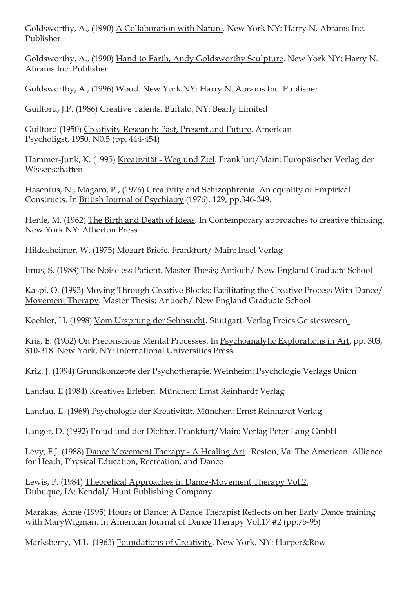Goldsworthy, A., (1990) A Collaboration with Nature. New York NY: Harry N. Abrams Inc. Publisher

Goldsworthy, A., (1990) Hand to Earth, Andy Goldsworthy Sculpture. New York NY: Harry N. Abrams Inc. Publisher

Goldsworthy, A., (1996) Wood. New York NY: Harry N. Abrams Inc. Publisher

Guilford, J.P. (1986) Creative Talents. Buffalo, NY: Bearly Limited

Guilford (1950) Creativity Research: Past, Present and Future. American Psycholigst, 1950, N0.5 (pp. 444-454)

Hammer-Junk, K. (1995) Kreativität - Weg und Ziel. Frankfurt/Main: Europäischer Verlag der Wissenschaften

Hasenfus, N., Magaro, P., (1976) Creativity and Schizophrenia: An equality of Empirical Constructs. In British Journal of Psychiatry (1976), 129, pp.346-349.

Henle, M. (1962) The Birth and Death of Ideas. In Contemporary approaches to creative thinking. New York NY: Atherton Press

Hildesheimer, W. (1975) Mozart Briefe. Frankfurt/ Main: Insel Verlag

Imus, S. (1988) The Noiseless Patient. Master Thesis; Antioch/ New England Graduate School

Kaspi, O. (1993) Moving Through Creative Blocks: Facilitating the Creative Process With Dance/ Movement Therapy. Master Thesis; Antioch/ New England Graduate School

Koehler, H. (1998) Vom Ursprung der Sehnsucht. Stuttgart: Verlag Freies Geisteswesen

Kris, E. (1952) On Preconscious Mental Processes. In Psychoanalytic Explorations in Art, pp. 303, 310-318. New York, NY: International Universities Press

Kriz, J. (1994) Grundkonzepte der Psychotherapie. Weinheim: Psychologie Verlags Union

Landau, E (1984) Kreatives Erleben. München: Ernst Reinhardt Verlag

Landau, E. (1969) Psychologie der Kreativität. München: Ernst Reinhardt Verlag

Langer, D. (1992) Freud und der Dichter. Frankfurt/Main: Verlag Peter Lang GmbH

Levy, F.J. (1988) Dance Movement Therapy - A Healing Art. Reston, Va: The American Alliance for Heath, Physical Education, Recreation, and Dance

Lewis, P. (1984) Theoretical Approaches in Dance-Movement Therapy Vol.2. Dubuque, IA: Kendal/ Hunt Publishing Company

Marakas, Anne (1995) Hours of Dance: A Dance Therapist Reflects on her Early Dance training with MaryWigman. In American Journal of Dance Therapy Vol.17 #2 (pp.75-95)

Marksberry, M.L. (1963) Foundations of Creativity. New York, NY: Harper&Row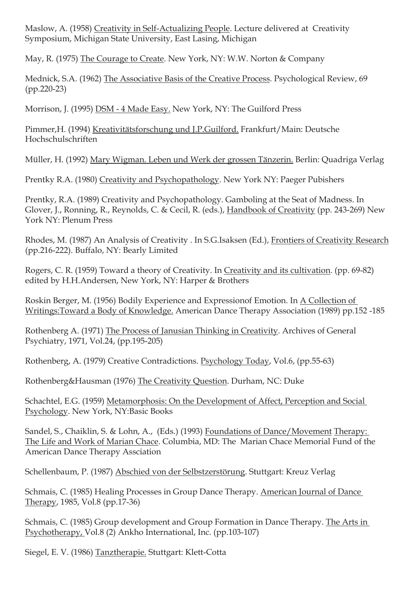Maslow, A. (1958) Creativity in Self-Actualizing People. Lecture delivered at Creativity Symposium, Michigan State University, East Lasing, Michigan

May, R. (1975) The Courage to Create. New York, NY: W.W. Norton & Company

Mednick, S.A. (1962) The Associative Basis of the Creative Process. Psychological Review, 69 (pp.220-23)

Morrison, J. (1995) DSM - 4 Made Easy. New York, NY: The Guilford Press

Pimmer,H. (1994) Kreativitätsforschung und J.P.Guilford. Frankfurt/Main: Deutsche Hochschulschriften

Müller, H. (1992) Mary Wigman. Leben und Werk der grossen Tänzerin. Berlin: Quadriga Verlag

Prentky R.A. (1980) Creativity and Psychopathology. New York NY: Paeger Pubishers

Prentky, R.A. (1989) Creativity and Psychopathology. Gamboling at the Seat of Madness. In Glover, J., Ronning, R., Reynolds, C. & Cecil, R. (eds.), Handbook of Creativity (pp. 243-269) New York NY: Plenum Press

Rhodes, M. (1987) An Analysis of Creativity . In S.G.Isaksen (Ed.), Frontiers of Creativity Research (pp.216-222). Buffalo, NY: Bearly Limited

Rogers, C. R. (1959) Toward a theory of Creativity. In Creativity and its cultivation. (pp. 69-82) edited by H.H.Andersen, New York, NY: Harper & Brothers

Roskin Berger, M. (1956) Bodily Experience and Expressionof Emotion. In A Collection of Writings:Toward a Body of Knowledge. American Dance Therapy Association (1989) pp.152 -185

Rothenberg A. (1971) The Process of Janusian Thinking in Creativity. Archives of General Psychiatry, 1971, Vol.24, (pp.195-205)

Rothenberg, A. (1979) Creative Contradictions. Psychology Today, Vol.6, (pp.55-63)

Rothenberg&Hausman (1976) The Creativity Question. Durham, NC: Duke

Schachtel, E.G. (1959) Metamorphosis: On the Development of Affect, Perception and Social Psychology. New York, NY:Basic Books

Sandel, S., Chaiklin, S. & Lohn, A., (Eds.) (1993) Foundations of Dance/Movement Therapy: The Life and Work of Marian Chace. Columbia, MD: The Marian Chace Memorial Fund of the American Dance Therapy Assciation

Schellenbaum, P. (1987) Abschied von der Selbstzerstörung. Stuttgart: Kreuz Verlag

Schmais, C. (1985) Healing Processes in Group Dance Therapy. American Journal of Dance Therapy, 1985, Vol.8 (pp.17-36)

Schmais, C. (1985) Group development and Group Formation in Dance Therapy. The Arts in Psychotherapy, Vol.8 (2) Ankho International, Inc. (pp.103-107)

Siegel, E. V. (1986) Tanztherapie. Stuttgart: Klett-Cotta